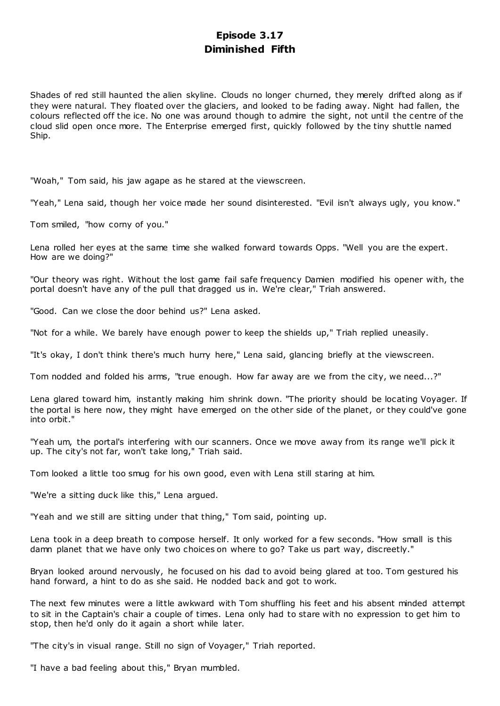## **Episode 3.17 Diminished Fifth**

Shades of red still haunted the alien skyline. Clouds no longer churned, they merely drifted along as if they were natural. They floated over the glaciers, and looked to be fading away. Night had fallen, the colours reflected off the ice. No one was around though to admire the sight, not until the centre of the cloud slid open once more. The Enterprise emerged first, quickly followed by the tiny shuttle named Ship.

"Woah," Tom said, his jaw agape as he stared at the viewscreen.

"Yeah," Lena said, though her voice made her sound disinterested. "Evil isn't always ugly, you know."

Tom smiled, "how corny of you."

Lena rolled her eyes at the same time she walked forward towards Opps. "Well you are the expert. How are we doing?"

"Our theory was right. Without the lost game fail safe frequency Damien modified his opener with, the portal doesn't have any of the pull that dragged us in. We're clear," Triah answered.

"Good. Can we close the door behind us?" Lena asked.

"Not for a while. We barely have enough power to keep the shields up," Triah replied uneasily.

"It's okay, I don't think there's much hurry here," Lena said, glancing briefly at the viewscreen.

Tom nodded and folded his arms, "true enough. How far away are we from the city, we need...?"

Lena glared toward him, instantly making him shrink down. "The priority should be locating Voyager. If the portal is here now, they might have emerged on the other side of the planet, or they could've gone into orbit."

"Yeah um, the portal's interfering with our scanners. Once we move away from its range we'll pick it up. The city's not far, won't take long," Triah said.

Tom looked a little too smug for his own good, even with Lena still staring at him.

"We're a sitting duck like this," Lena argued.

"Yeah and we still are sitting under that thing," Tom said, pointing up.

Lena took in a deep breath to compose herself. It only worked for a few seconds. "How small is this damn planet that we have only two choices on where to go? Take us part way, discreetly."

Bryan looked around nervously, he focused on his dad to avoid being glared at too. Tom gestured his hand forward, a hint to do as she said. He nodded back and got to work.

The next few minutes were a little awkward with Tom shuffling his feet and his absent minded attempt to sit in the Captain's chair a couple of times. Lena only had to stare with no expression to get him to stop, then he'd only do it again a short while later.

"The city's in visual range. Still no sign of Voyager," Triah reported.

"I have a bad feeling about this," Bryan mumbled.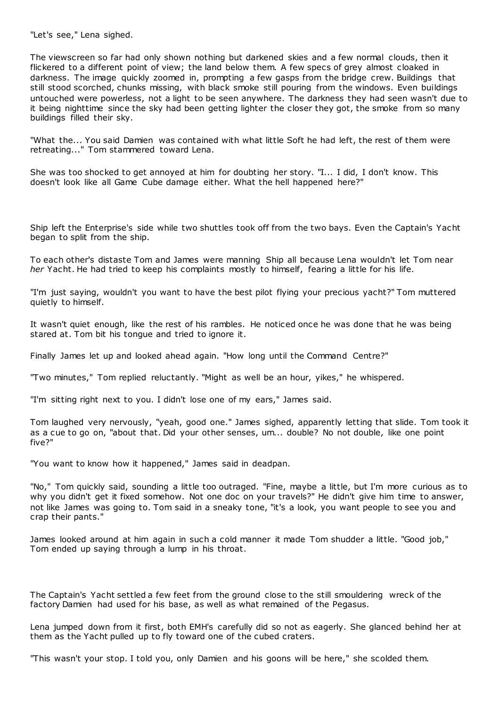"Let's see," Lena sighed.

The viewscreen so far had only shown nothing but darkened skies and a few normal clouds, then it flickered to a different point of view; the land below them. A few specs of grey almost cloaked in darkness. The image quickly zoomed in, prompting a few gasps from the bridge crew. Buildings that still stood scorched, chunks missing, with black smoke still pouring from the windows. Even buildings untouched were powerless, not a light to be seen anywhere. The darkness they had seen wasn't due to it being nighttime since the sky had been getting lighter the closer they got, the smoke from so many buildings filled their sky.

"What the... You said Damien was contained with what little Soft he had left, the rest of them were retreating..." Tom stammered toward Lena.

She was too shocked to get annoyed at him for doubting her story. "I... I did, I don't know. This doesn't look like all Game Cube damage either. What the hell happened here?"

Ship left the Enterprise's side while two shuttles took off from the two bays. Even the Captain's Yacht began to split from the ship.

To each other's distaste Tom and James were manning Ship all because Lena wouldn't let Tom near *her* Yacht. He had tried to keep his complaints mostly to himself, fearing a little for his life.

"I'm just saying, wouldn't you want to have the best pilot flying your precious yacht?" Tom muttered quietly to himself.

It wasn't quiet enough, like the rest of his rambles. He noticed once he was done that he was being stared at. Tom bit his tongue and tried to ignore it.

Finally James let up and looked ahead again. "How long until the Command Centre?"

"Two minutes," Tom replied reluctantly. "Might as well be an hour, yikes," he whispered.

"I'm sitting right next to you. I didn't lose one of my ears," James said.

Tom laughed very nervously, "yeah, good one." James sighed, apparently letting that slide. Tom took it as a cue to go on, "about that. Did your other senses, um... double? No not double, like one point five?"

"You want to know how it happened," James said in deadpan.

"No," Tom quickly said, sounding a little too outraged. "Fine, maybe a little, but I'm more curious as to why you didn't get it fixed somehow. Not one doc on your travels?" He didn't give him time to answer, not like James was going to. Tom said in a sneaky tone, "it's a look, you want people to see you and crap their pants."

James looked around at him again in such a cold manner it made Tom shudder a little. "Good job," Tom ended up saying through a lump in his throat.

The Captain's Yacht settled a few feet from the ground close to the still smouldering wreck of the factory Damien had used for his base, as well as what remained of the Pegasus.

Lena jumped down from it first, both EMH's carefully did so not as eagerly. She glanced behind her at them as the Yacht pulled up to fly toward one of the cubed craters.

"This wasn't your stop. I told you, only Damien and his goons will be here," she scolded them.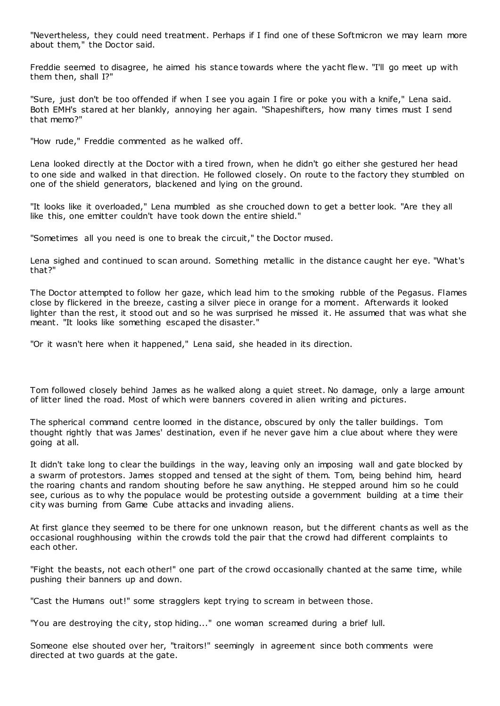"Nevertheless, they could need treatment. Perhaps if I find one of these Softmicron we may learn more about them," the Doctor said.

Freddie seemed to disagree, he aimed his stance towards where the yacht flew. "I'll go meet up with them then, shall I?"

"Sure, just don't be too offended if when I see you again I fire or poke you with a knife," Lena said. Both EMH's stared at her blankly, annoying her again. "Shapeshifters, how many times must I send that memo?"

"How rude," Freddie commented as he walked off.

Lena looked directly at the Doctor with a tired frown, when he didn't go either she gestured her head to one side and walked in that direction. He followed closely. On route to the factory they stumbled on one of the shield generators, blackened and lying on the ground.

"It looks like it overloaded," Lena mumbled as she crouched down to get a better look. "Are they all like this, one emitter couldn't have took down the entire shield."

"Sometimes all you need is one to break the circuit," the Doctor mused.

Lena sighed and continued to scan around. Something metallic in the distance caught her eye. "What's that?"

The Doctor attempted to follow her gaze, which lead him to the smoking rubble of the Pegasus. Flames close by flickered in the breeze, casting a silver piece in orange for a moment. Afterwards it looked lighter than the rest, it stood out and so he was surprised he missed it. He assumed that was what she meant. "It looks like something escaped the disaster."

"Or it wasn't here when it happened," Lena said, she headed in its direction.

Tom followed closely behind James as he walked along a quiet street. No damage, only a large amount of litter lined the road. Most of which were banners covered in alien writing and pictures.

The spherical command centre loomed in the distance, obscured by only the taller buildings. Tom thought rightly that was James' destination, even if he never gave him a clue about where they were going at all.

It didn't take long to clear the buildings in the way, leaving only an imposing wall and gate blocked by a swarm of protestors. James stopped and tensed at the sight of them. Tom, being behind him, heard the roaring chants and random shouting before he saw anything. He stepped around him so he could see, curious as to why the populace would be protesting outside a government building at a time their city was burning from Game Cube attacks and invading aliens.

At first glance they seemed to be there for one unknown reason, but t he different chants as well as the occasional roughhousing within the crowds told the pair that the crowd had different complaints to each other.

"Fight the beasts, not each other!" one part of the crowd occasionally chanted at the same time, while pushing their banners up and down.

"Cast the Humans out!" some stragglers kept trying to scream in between those.

"You are destroying the city, stop hiding..." one woman screamed during a brief lull.

Someone else shouted over her, "traitors!" seemingly in agreement since both comments were directed at two guards at the gate.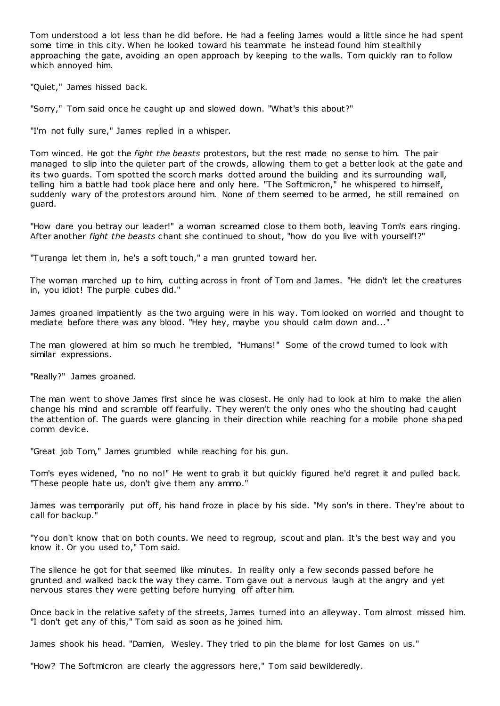Tom understood a lot less than he did before. He had a feeling James would a little since he had spent some time in this city. When he looked toward his teammate he instead found him stealthily approaching the gate, avoiding an open approach by keeping to the walls. Tom quickly ran to follow which annoyed him.

"Quiet," James hissed back.

"Sorry," Tom said once he caught up and slowed down. "What's this about?"

"I'm not fully sure," James replied in a whisper.

Tom winced. He got the *fight the beasts* protestors, but the rest made no sense to him. The pair managed to slip into the quieter part of the crowds, allowing them to get a better look at the gate and its two guards. Tom spotted the scorch marks dotted around the building and its surrounding wall, telling him a battle had took place here and only here. "The Softmicron," he whispered to himself, suddenly wary of the protestors around him. None of them seemed to be armed, he still remained on guard.

"How dare you betray our leader!" a woman screamed close to them both, leaving Tom's ears ringing. After another *fight the beasts* chant she continued to shout, "how do you live with yourself!?"

"Turanga let them in, he's a soft touch," a man grunted toward her.

The woman marched up to him, cutting across in front of Tom and James. "He didn't let the creatures in, you idiot! The purple cubes did."

James groaned impatiently as the two arguing were in his way. Tom looked on worried and thought to mediate before there was any blood. "Hey hey, maybe you should calm down and..."

The man glowered at him so much he trembled, "Humans!" Some of the crowd turned to look with similar expressions.

"Really?" James groaned.

The man went to shove James first since he was closest. He only had to look at him to make the alien change his mind and scramble off fearfully. They weren't the only ones who the shouting had caught the attention of. The guards were glancing in their direction while reaching for a mobile phone shaped comm device.

"Great job Tom," James grumbled while reaching for his gun.

Tom's eyes widened, "no no no!" He went to grab it but quickly figured he'd regret it and pulled back. "These people hate us, don't give them any ammo."

James was temporarily put off, his hand froze in place by his side. "My son's in there. They're about to call for backup."

"You don't know that on both counts. We need to regroup, scout and plan. It's the best way and you know it. Or you used to," Tom said.

The silence he got for that seemed like minutes. In reality only a few seconds passed before he grunted and walked back the way they came. Tom gave out a nervous laugh at the angry and yet nervous stares they were getting before hurrying off after him.

Once back in the relative safety of the streets, James turned into an alleyway. Tom almost missed him. "I don't get any of this," Tom said as soon as he joined him.

James shook his head. "Damien, Wesley. They tried to pin the blame for lost Games on us."

"How? The Softmicron are clearly the aggressors here," Tom said bewilderedly.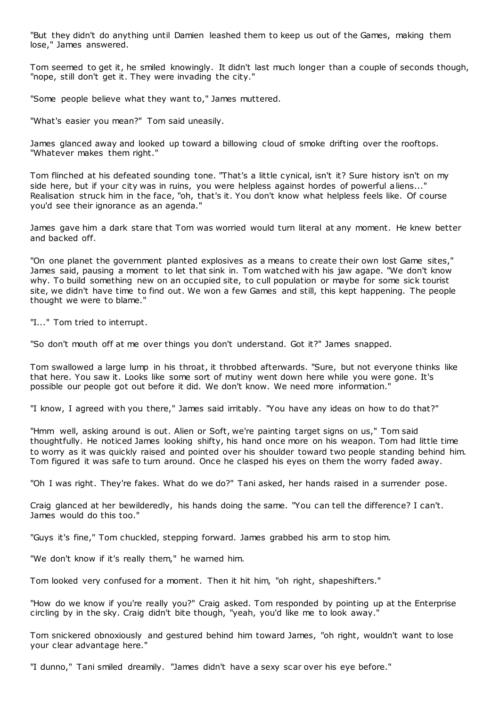"But they didn't do anything until Damien leashed them to keep us out of the Games, making them lose," James answered.

Tom seemed to get it, he smiled knowingly. It didn't last much longer than a couple of seconds though, "nope, still don't get it. They were invading the city."

"Some people believe what they want to," James muttered.

"What's easier you mean?" Tom said uneasily.

James glanced away and looked up toward a billowing cloud of smoke drifting over the rooftops. "Whatever makes them right."

Tom flinched at his defeated sounding tone. "That's a little cynical, isn't it? Sure history isn't on my side here, but if your city was in ruins, you were helpless against hordes of powerful aliens..." Realisation struck him in the face, "oh, that's it. You don't know what helpless feels like. Of course you'd see their ignorance as an agenda."

James gave him a dark stare that Tom was worried would turn literal at any moment. He knew better and backed off.

"On one planet the government planted explosives as a means to create their own lost Game sites," James said, pausing a moment to let that sink in. Tom watched with his jaw agape. "We don't know why. To build something new on an occupied site, to cull population or maybe for some sick tourist site, we didn't have time to find out. We won a few Games and still, this kept happening. The people thought we were to blame."

"I..." Tom tried to interrupt.

"So don't mouth off at me over things you don't understand. Got it?" James snapped.

Tom swallowed a large lump in his throat, it throbbed afterwards. "Sure, but not everyone thinks like that here. You saw it. Looks like some sort of mutiny went down here while you were gone. It's possible our people got out before it did. We don't know. We need more information."

"I know, I agreed with you there," James said irritably. "You have any ideas on how to do that?"

"Hmm well, asking around is out. Alien or Soft, we're painting target signs on us," Tom said thoughtfully. He noticed James looking shifty, his hand once more on his weapon. Tom had little time to worry as it was quickly raised and pointed over his shoulder toward two people standing behind him. Tom figured it was safe to turn around. Once he clasped his eyes on them the worry faded away.

"Oh I was right. They're fakes. What do we do?" Tani asked, her hands raised in a surrender pose.

Craig glanced at her bewilderedly, his hands doing the same. "You can tell the difference? I can't. James would do this too."

"Guys it's fine," Tom chuckled, stepping forward. James grabbed his arm to stop him.

"We don't know if it's really them," he warned him.

Tom looked very confused for a moment. Then it hit him, "oh right, shapeshifters."

"How do we know if you're really you?" Craig asked. Tom responded by pointing up at the Enterprise circling by in the sky. Craig didn't bite though, "yeah, you'd like me to look away."

Tom snickered obnoxiously and gestured behind him toward James, "oh right, wouldn't want to lose your clear advantage here."

"I dunno," Tani smiled dreamily. "James didn't have a sexy scar over his eye before."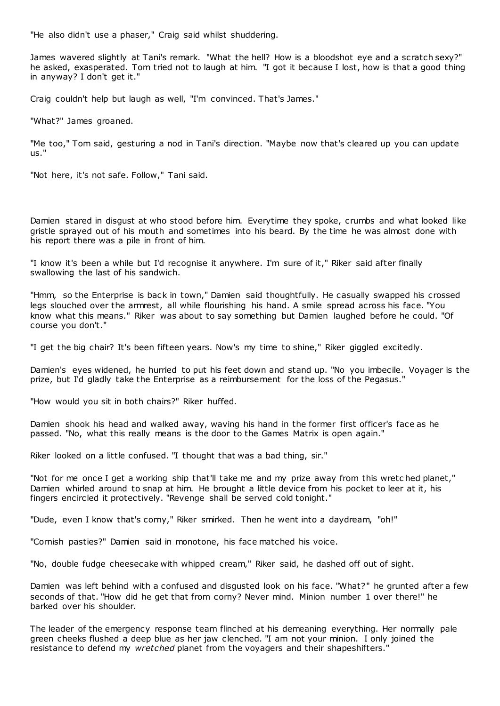"He also didn't use a phaser," Craig said whilst shuddering.

James wavered slightly at Tani's remark. "What the hell? How is a bloodshot eye and a scratch sexy?" he asked, exasperated. Tom tried not to laugh at him. "I got it because I lost, how is that a good thing in anyway? I don't get it."

Craig couldn't help but laugh as well, "I'm convinced. That's James."

"What?" James groaned.

"Me too," Tom said, gesturing a nod in Tani's direction. "Maybe now that's cleared up you can update us."

"Not here, it's not safe. Follow," Tani said.

Damien stared in disgust at who stood before him. Everytime they spoke, crumbs and what looked like gristle sprayed out of his mouth and sometimes into his beard. By the time he was almost done with his report there was a pile in front of him.

"I know it's been a while but I'd recognise it anywhere. I'm sure of it," Riker said after finally swallowing the last of his sandwich.

"Hmm, so the Enterprise is back in town," Damien said thoughtfully. He casually swapped his crossed legs slouched over the armrest, all while flourishing his hand. A smile spread across his face. "You know what this means." Riker was about to say something but Damien laughed before he could. "Of course you don't."

"I get the big chair? It's been fifteen years. Now's my time to shine," Riker giggled excitedly.

Damien's eyes widened, he hurried to put his feet down and stand up. "No you imbecile. Voyager is the prize, but I'd gladly take the Enterprise as a reimbursement for the loss of the Pegasus."

"How would you sit in both chairs?" Riker huffed.

Damien shook his head and walked away, waving his hand in the former first officer's face as he passed. "No, what this really means is the door to the Games Matrix is open again."

Riker looked on a little confused. "I thought that was a bad thing, sir."

"Not for me once I get a working ship that'll take me and my prize away from this wretc hed planet," Damien whirled around to snap at him. He brought a little device from his pocket to leer at it, his fingers encircled it protectively. "Revenge shall be served cold tonight."

"Dude, even I know that's corny," Riker smirked. Then he went into a daydream, "oh!"

"Cornish pasties?" Damien said in monotone, his face matched his voice.

"No, double fudge cheesecake with whipped cream," Riker said, he dashed off out of sight.

Damien was left behind with a confused and disgusted look on his face. "What?" he grunted after a few seconds of that. "How did he get that from corny? Never mind. Minion number 1 over there!" he barked over his shoulder.

The leader of the emergency response team flinched at his demeaning everything. Her normally pale green cheeks flushed a deep blue as her jaw clenched. "I am not your minion. I only joined the resistance to defend my *wretched* planet from the voyagers and their shapeshifters.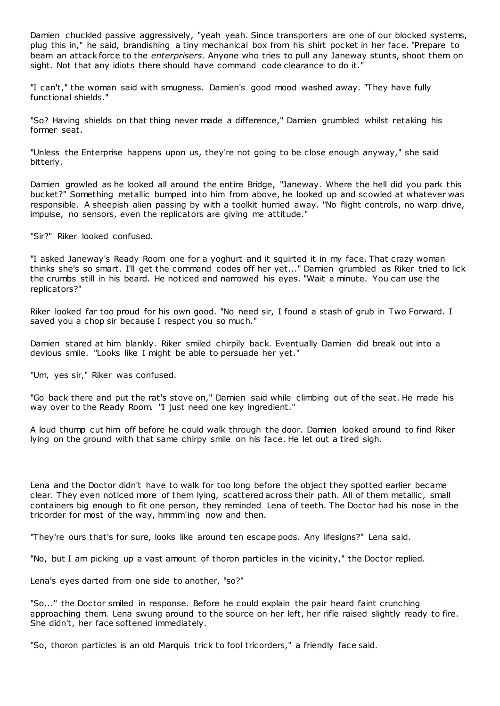Damien chuckled passive aggressively, "yeah yeah. Since transporters are one of our blocked systems, plug this in," he said, brandishing a tiny mechanical box from his shirt pocket in her face. "Prepare to beam an attack force to the *enterprisers*. Anyone who tries to pull any Janeway stunts, shoot them on sight. Not that any idiots there should have command code clearance to do it."

"I can't," the woman said with smugness. Damien's good mood washed away. "They have fully functional shields."

"So? Having shields on that thing never made a difference," Damien grumbled whilst retaking his former seat.

"Unless the Enterprise happens upon us, they're not going to be close enough anyway," she said bitterly.

Damien growled as he looked all around the entire Bridge, "Janeway. Where the hell did you park this bucket?" Something metallic bumped into him from above, he looked up and scowled at whatever was responsible. A sheepish alien passing by with a toolkit hurried away. "No flight controls, no warp drive, impulse, no sensors, even the replicators are giving me attitude."

"Sir?" Riker looked confused.

"I asked Janeway's Ready Room one for a yoghurt and it squirted it in my face. That crazy woman thinks she's so smart. I'll get the command codes off her yet..." Damien grumbled as Riker tried to lick the crumbs still in his beard. He noticed and narrowed his eyes. "Wait a minute. You can use the replicators?"

Riker looked far too proud for his own good. "No need sir, I found a stash of grub in Two Forward. I saved you a chop sir because I respect you so much."

Damien stared at him blankly. Riker smiled chirpily back. Eventually Damien did break out into a devious smile. "Looks like I might be able to persuade her yet."

"Um, yes sir," Riker was confused.

"Go back there and put the rat's stove on," Damien said while climbing out of the seat. He made his way over to the Ready Room. "I just need one key ingredient."

A loud thump cut him off before he could walk through the door. Damien looked around to find Riker lying on the ground with that same chirpy smile on his face. He let out a tired sigh.

Lena and the Doctor didn't have to walk for too long before the object they spotted earlier became clear. They even noticed more of them lying, scattered across their path. All of them metallic, small containers big enough to fit one person, they reminded Lena of teeth. The Doctor had his nose in the tricorder for most of the way, hmmm'ing now and then.

"They're ours that's for sure, looks like around ten escape pods. Any lifesigns?" Lena said.

"No, but I am picking up a vast amount of thoron particles in the vicinity," the Doctor replied.

Lena's eyes darted from one side to another, "so?"

"So..." the Doctor smiled in response. Before he could explain the pair heard faint crunching approaching them. Lena swung around to the source on her left, her rifle raised slightly ready to fire. She didn't, her face softened immediately.

"So, thoron particles is an old Marquis trick to fool tricorders," a friendly face said.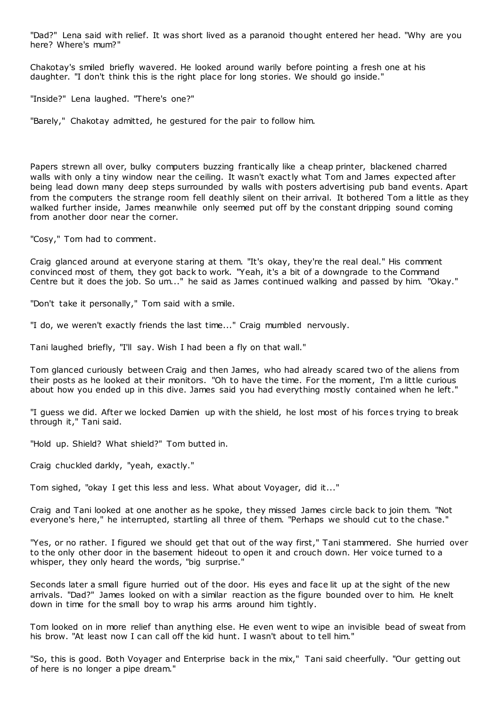"Dad?" Lena said with relief. It was short lived as a paranoid thought entered her head. "Why are you here? Where's mum?"

Chakotay's smiled briefly wavered. He looked around warily before pointing a fresh one at his daughter. "I don't think this is the right place for long stories. We should go inside."

"Inside?" Lena laughed. "There's one?"

"Barely," Chakotay admitted, he gestured for the pair to follow him.

Papers strewn all over, bulky computers buzzing frantically like a cheap printer, blackened charred walls with only a tiny window near the ceiling. It wasn't exactly what Tom and James expected after being lead down many deep steps surrounded by walls with posters advertising pub band events. Apart from the computers the strange room fell deathly silent on their arrival. It bothered Tom a little as they walked further inside, James meanwhile only seemed put off by the constant dripping sound coming from another door near the corner.

"Cosy," Tom had to comment.

Craig glanced around at everyone staring at them. "It's okay, they're the real deal." His comment convinced most of them, they got back to work. "Yeah, it's a bit of a downgrade to the Command Centre but it does the job. So um..." he said as James continued walking and passed by him. "Okay."

"Don't take it personally," Tom said with a smile.

"I do, we weren't exactly friends the last time..." Craig mumbled nervously.

Tani laughed briefly, "I'll say. Wish I had been a fly on that wall."

Tom glanced curiously between Craig and then James, who had already scared two of the aliens from their posts as he looked at their monitors. "Oh to have the time. For the moment, I'm a little curious about how you ended up in this dive. James said you had everything mostly contained when he left."

"I guess we did. After we locked Damien up with the shield, he lost most of his forces trying to break through it," Tani said.

"Hold up. Shield? What shield?" Tom butted in.

Craig chuckled darkly, "yeah, exactly."

Tom sighed, "okay I get this less and less. What about Voyager, did it..."

Craig and Tani looked at one another as he spoke, they missed James circle back to join them. "Not everyone's here," he interrupted, startling all three of them. "Perhaps we should cut to the chase."

"Yes, or no rather. I figured we should get that out of the way first," Tani stammered. She hurried over to the only other door in the basement hideout to open it and crouch down. Her voice turned to a whisper, they only heard the words, "big surprise."

Seconds later a small figure hurried out of the door. His eyes and face lit up at the sight of the new arrivals. "Dad?" James looked on with a similar reaction as the figure bounded over to him. He knelt down in time for the small boy to wrap his arms around him tightly.

Tom looked on in more relief than anything else. He even went to wipe an invisible bead of sweat from his brow. "At least now I can call off the kid hunt. I wasn't about to tell him."

"So, this is good. Both Voyager and Enterprise back in the mix," Tani said cheerfully. "Our getting out of here is no longer a pipe dream."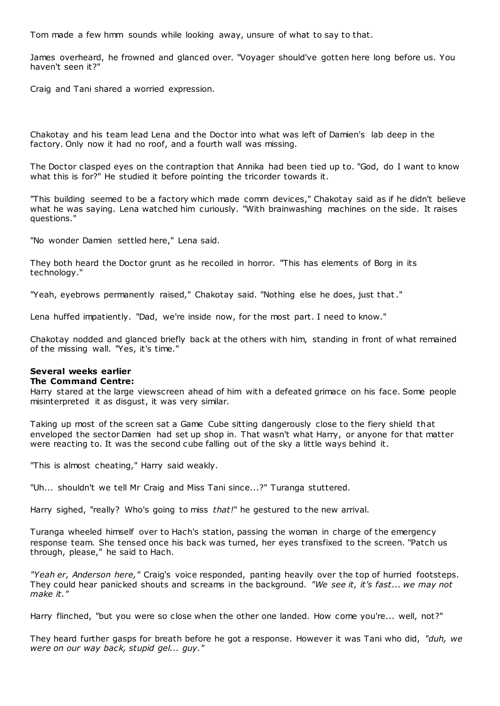Tom made a few hmm sounds while looking away, unsure of what to say to that.

James overheard, he frowned and glanced over. "Voyager should've gotten here long before us. You haven't seen it?"

Craig and Tani shared a worried expression.

Chakotay and his team lead Lena and the Doctor into what was left of Damien's lab deep in the factory. Only now it had no roof, and a fourth wall was missing.

The Doctor clasped eyes on the contraption that Annika had been tied up to. "God, do I want to know what this is for?" He studied it before pointing the tricorder towards it.

"This building seemed to be a factory which made comm devices," Chakotay said as if he didn't believe what he was saying. Lena watched him curiously. "With brainwashing machines on the side. It raises questions."

"No wonder Damien settled here," Lena said.

They both heard the Doctor grunt as he recoiled in horror. "This has elements of Borg in its technology."

"Yeah, eyebrows permanently raised," Chakotay said. "Nothing else he does, just that."

Lena huffed impatiently. "Dad, we're inside now, for the most part. I need to know."

Chakotay nodded and glanced briefly back at the others with him, standing in front of what remained of the missing wall. "Yes, it's time."

# **Several weeks earlier**

### **The Command Centre:**

Harry stared at the large viewscreen ahead of him with a defeated grimace on his face. Some people misinterpreted it as disgust, it was very similar.

Taking up most of the screen sat a Game Cube sitting dangerously close to the fiery shield that enveloped the sector Damien had set up shop in. That wasn't what Harry, or anyone for that matter were reacting to. It was the second cube falling out of the sky a little ways behind it.

"This is almost cheating," Harry said weakly.

"Uh... shouldn't we tell Mr Craig and Miss Tani since...?" Turanga stuttered.

Harry sighed, "really? Who's going to miss *that!*" he gestured to the new arrival.

Turanga wheeled himself over to Hach's station, passing the woman in charge of the emergency response team. She tensed once his back was turned, her eyes transfixed to the screen. "Patch us through, please," he said to Hach.

*"Yeah er, Anderson here,"* Craig's voice responded, panting heavily over the top of hurried footsteps. They could hear panicked shouts and screams in the background. *"We see it, it's fast... we may not make it."*

Harry flinched, "but you were so close when the other one landed. How come you're... well, not?"

They heard further gasps for breath before he got a response. However it was Tani who did, *"duh, we were on our way back, stupid gel... guy."*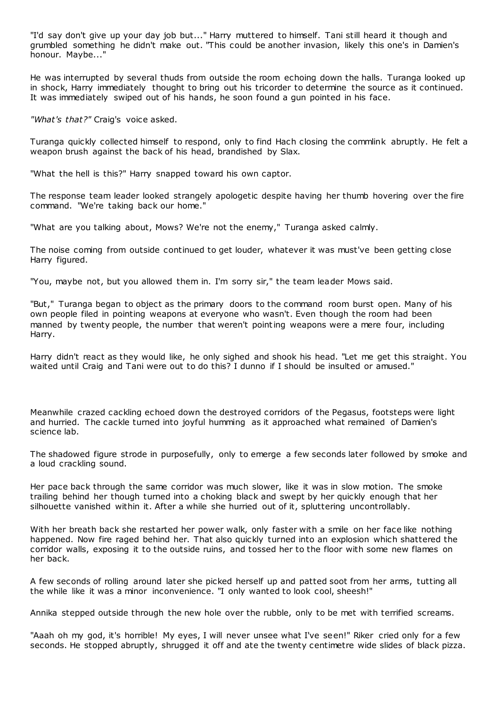"I'd say don't give up your day job but..." Harry muttered to himself. Tani still heard it though and grumbled something he didn't make out. "This could be another invasion, likely this one's in Damien's honour. Maybe..."

He was interrupted by several thuds from outside the room echoing down the halls. Turanga looked up in shock, Harry immediately thought to bring out his tricorder to determine the source as it continued. It was immediately swiped out of his hands, he soon found a gun pointed in his face.

*"What's that?"* Craig's voice asked.

Turanga quickly collected himself to respond, only to find Hach closing the commlink abruptly. He felt a weapon brush against the back of his head, brandished by Slax.

"What the hell is this?" Harry snapped toward his own captor.

The response team leader looked strangely apologetic despite having her thumb hovering over the fire command. "We're taking back our home."

"What are you talking about, Mows? We're not the enemy," Turanga asked calmly.

The noise coming from outside continued to get louder, whatever it was must've been getting close Harry figured.

"You, maybe not, but you allowed them in. I'm sorry sir," the team leader Mows said.

"But," Turanga began to object as the primary doors to the command room burst open. Many of his own people filed in pointing weapons at everyone who wasn't. Even though the room had been manned by twenty people, the number that weren't pointing weapons were a mere four, including Harry.

Harry didn't react as they would like, he only sighed and shook his head. "Let me get this straight. You waited until Craig and Tani were out to do this? I dunno if I should be insulted or amused."

Meanwhile crazed cackling echoed down the destroyed corridors of the Pegasus, footsteps were light and hurried. The cackle turned into joyful humming as it approached what remained of Damien's science lab.

The shadowed figure strode in purposefully, only to emerge a few seconds later followed by smoke and a loud crackling sound.

Her pace back through the same corridor was much slower, like it was in slow motion. The smoke trailing behind her though turned into a choking black and swept by her quickly enough that her silhouette vanished within it. After a while she hurried out of it, spluttering uncontrollably.

With her breath back she restarted her power walk, only faster with a smile on her face like nothing happened. Now fire raged behind her. That also quickly turned into an explosion which shattered the corridor walls, exposing it to the outside ruins, and tossed her to the floor with some new flames on her back.

A few seconds of rolling around later she picked herself up and patted soot from her arms, tutting all the while like it was a minor inconvenience. "I only wanted to look cool, sheesh!"

Annika stepped outside through the new hole over the rubble, only to be met with terrified screams.

"Aaah oh my god, it's horrible! My eyes, I will never unsee what I've seen!" Riker cried only for a few seconds. He stopped abruptly, shrugged it off and ate the twenty centimetre wide slides of black pizza.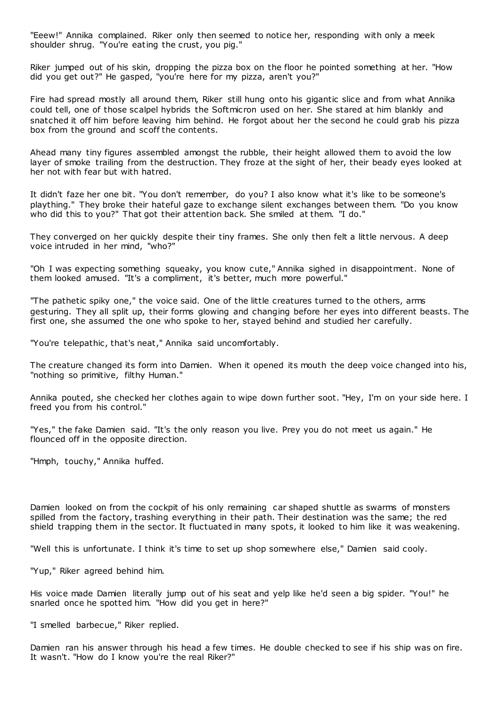"Eeew!" Annika complained. Riker only then seemed to notice her, responding with only a meek shoulder shrug. "You're eating the crust, you pig."

Riker jumped out of his skin, dropping the pizza box on the floor he pointed something at her. "How did you get out?" He gasped, "you're here for my pizza, aren't you?"

Fire had spread mostly all around them, Riker still hung onto his gigantic slice and from what Annika could tell, one of those scalpel hybrids the Softmicron used on her. She stared at him blankly and snatched it off him before leaving him behind. He forgot about her the second he could grab his pizza box from the ground and scoff the contents.

Ahead many tiny figures assembled amongst the rubble, their height allowed them to avoid the low layer of smoke trailing from the destruction. They froze at the sight of her, their beady eyes looked at her not with fear but with hatred.

It didn't faze her one bit. "You don't remember, do you? I also know what it's like to be someone's plaything." They broke their hateful gaze to exchange silent exchanges between them. "Do you know who did this to you?" That got their attention back. She smiled at them. "I do."

They converged on her quickly despite their tiny frames. She only then felt a little nervous. A deep voice intruded in her mind, "who?"

"Oh I was expecting something squeaky, you know cute," Annika sighed in disappointment. None of them looked amused. "It's a compliment, it's better, much more powerful."

"The pathetic spiky one," the voice said. One of the little creatures turned to the others, arms gesturing. They all split up, their forms glowing and changing before her eyes into different beasts. The first one, she assumed the one who spoke to her, stayed behind and studied her carefully.

"You're telepathic, that's neat," Annika said uncomfortably.

The creature changed its form into Damien. When it opened its mouth the deep voice changed into his, "nothing so primitive, filthy Human."

Annika pouted, she checked her clothes again to wipe down further soot. "Hey, I'm on your side here. I freed you from his control."

"Yes," the fake Damien said. "It's the only reason you live. Prey you do not meet us again." He flounced off in the opposite direction.

"Hmph, touchy," Annika huffed.

Damien looked on from the cockpit of his only remaining car shaped shuttle as swarms of monsters spilled from the factory, trashing everything in their path. Their destination was the same; the red shield trapping them in the sector. It fluctuated in many spots, it looked to him like it was weakening.

"Well this is unfortunate. I think it's time to set up shop somewhere else," Damien said cooly.

"Yup," Riker agreed behind him.

His voice made Damien literally jump out of his seat and yelp like he'd seen a big spider. "You!" he snarled once he spotted him. "How did you get in here?"

"I smelled barbecue," Riker replied.

Damien ran his answer through his head a few times. He double checked to see if his ship was on fire. It wasn't. "How do I know you're the real Riker?"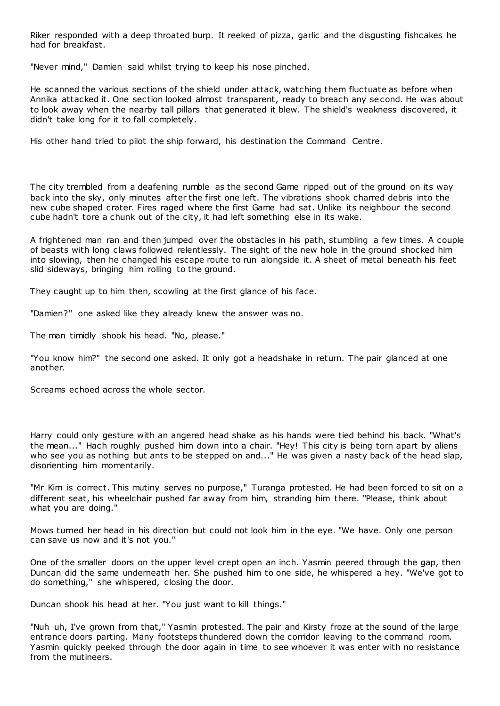Riker responded with a deep throated burp. It reeked of pizza, garlic and the disgusting fishcakes he had for breakfast.

"Never mind," Damien said whilst trying to keep his nose pinched.

He scanned the various sections of the shield under attack, watching them fluctuate as before when Annika attacked it. One section looked almost transparent, ready to breach any second. He was about to look away when the nearby tall pillars that generated it blew. The shield's weakness discovered, it didn't take long for it to fall completely.

His other hand tried to pilot the ship forward, his destination the Command Centre.

The city trembled from a deafening rumble as the second Game ripped out of the ground on its way back into the sky, only minutes after the first one left. The vibrations shook charred debris into the new cube shaped crater. Fires raged where the first Game had sat. Unlike its neighbour the second cube hadn't tore a chunk out of the city, it had left something else in its wake.

A frightened man ran and then jumped over the obstacles in his path, stumbling a few times. A couple of beasts with long claws followed relentlessly. The sight of the new hole in the ground shocked him into slowing, then he changed his escape route to run alongside it. A sheet of metal beneath his feet slid sideways, bringing him rolling to the ground.

They caught up to him then, scowling at the first glance of his face.

"Damien?" one asked like they already knew the answer was no.

The man timidly shook his head. "No, please."

"You know him?" the second one asked. It only got a headshake in return. The pair glanced at one another.

Screams echoed across the whole sector.

Harry could only gesture with an angered head shake as his hands were tied behind his back. "What's the mean..." Hach roughly pushed him down into a chair. "Hey! This city is being torn apart by aliens who see you as nothing but ants to be stepped on and..." He was given a nasty back of the head slap, disorienting him momentarily.

"Mr Kim is correct. This mutiny serves no purpose," Turanga protested. He had been forced to sit on a different seat, his wheelchair pushed far away from him, stranding him there. "Please, think about what you are doing."

Mows turned her head in his direction but could not look him in the eye. "We have. Only one person can save us now and it's not you."

One of the smaller doors on the upper level crept open an inch. Yasmin peered through the gap, then Duncan did the same underneath her. She pushed him to one side, he whispered a hey. "We've got to do something," she whispered, closing the door.

Duncan shook his head at her. "You just want to kill things."

"Nuh uh, I've grown from that," Yasmin protested. The pair and Kirsty froze at the sound of the large entrance doors parting. Many footsteps thundered down the corridor leaving to the command room. Yasmin quickly peeked through the door again in time to see whoever it was enter with no resistance from the mutineers.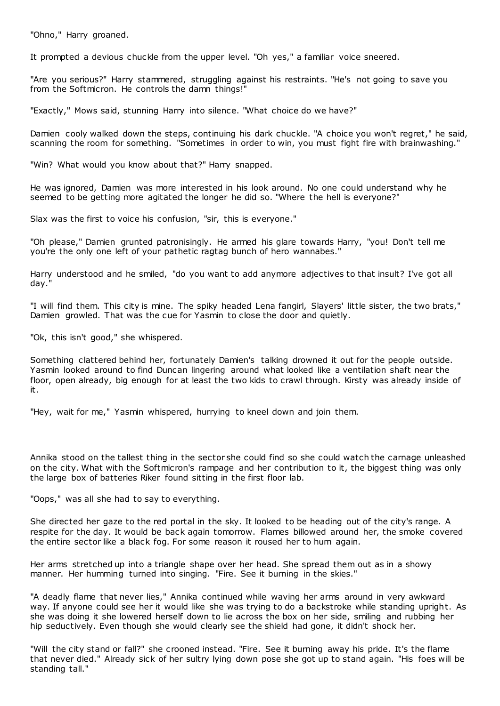"Ohno," Harry groaned.

It prompted a devious chuckle from the upper level. "Oh yes," a familiar voice sneered.

"Are you serious?" Harry stammered, struggling against his restraints. "He's not going to save you from the Softmicron. He controls the damn things!"

"Exactly," Mows said, stunning Harry into silence. "What choice do we have?"

Damien cooly walked down the steps, continuing his dark chuckle. "A choice you won't regret," he said, scanning the room for something. "Sometimes in order to win, you must fight fire with brainwashing."

"Win? What would you know about that?" Harry snapped.

He was ignored, Damien was more interested in his look around. No one could understand why he seemed to be getting more agitated the longer he did so. "Where the hell is everyone?"

Slax was the first to voice his confusion, "sir, this is everyone."

"Oh please," Damien grunted patronisingly. He armed his glare towards Harry, "you! Don't tell me you're the only one left of your pathetic ragtag bunch of hero wannabes."

Harry understood and he smiled, "do you want to add anymore adjectives to that insult? I've got all day."

"I will find them. This city is mine. The spiky headed Lena fangirl, Slayers' little sister, the two brats," Damien growled. That was the cue for Yasmin to close the door and quietly.

"Ok, this isn't good," she whispered.

Something clattered behind her, fortunately Damien's talking drowned it out for the people outside. Yasmin looked around to find Duncan lingering around what looked like a ventilation shaft near the floor, open already, big enough for at least the two kids to crawl through. Kirsty was already inside of it.

"Hey, wait for me," Yasmin whispered, hurrying to kneel down and join them.

Annika stood on the tallest thing in the sector she could find so she could watch the carnage unleashed on the city. What with the Softmicron's rampage and her contribution to it, the biggest thing was only the large box of batteries Riker found sitting in the first floor lab.

"Oops," was all she had to say to everything.

She directed her gaze to the red portal in the sky. It looked to be heading out of the city's range. A respite for the day. It would be back again tomorrow. Flames billowed around her, the smoke covered the entire sector like a black fog. For some reason it roused her to hum again.

Her arms stretched up into a triangle shape over her head. She spread them out as in a showy manner. Her humming turned into singing. "Fire. See it burning in the skies."

"A deadly flame that never lies," Annika continued while waving her arms around in very awkward way. If anyone could see her it would like she was trying to do a backstroke while standing upright. As she was doing it she lowered herself down to lie across the box on her side, smiling and rubbing her hip seductively. Even though she would clearly see the shield had gone, it didn't shock her.

"Will the city stand or fall?" she crooned instead. "Fire. See it burning away his pride. It's the flame that never died." Already sick of her sultry lying down pose she got up to stand again. "His foes will be standing tall."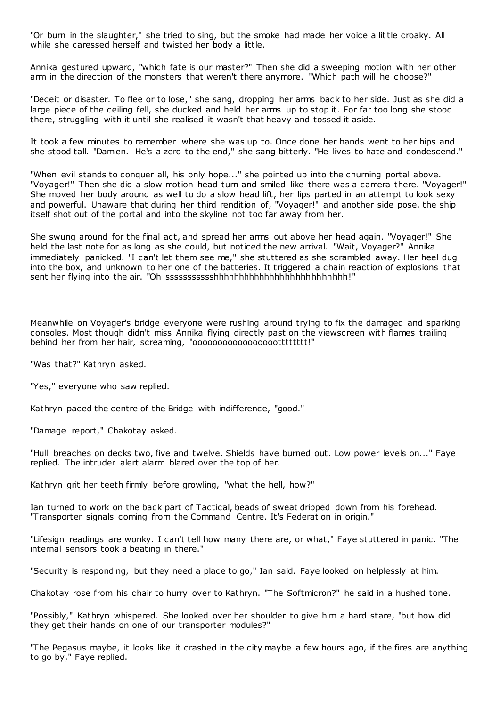"Or burn in the slaughter," she tried to sing, but the smoke had made her voice a little croaky. All while she caressed herself and twisted her body a little.

Annika gestured upward, "which fate is our master?" Then she did a sweeping motion with her other arm in the direction of the monsters that weren't there anymore. "Which path will he choose?"

"Deceit or disaster. To flee or to lose," she sang, dropping her arms back to her side. Just as she did a large piece of the ceiling fell, she ducked and held her arms up to stop it. For far too long she stood there, struggling with it until she realised it wasn't that heavy and tossed it aside.

It took a few minutes to remember where she was up to. Once done her hands went to her hips and she stood tall. "Damien. He's a zero to the end," she sang bitterly. "He lives to hate and condescend."

"When evil stands to conquer all, his only hope..." she pointed up into the churning portal above. "Voyager!" Then she did a slow motion head turn and smiled like there was a camera there. "Voyager!" She moved her body around as well to do a slow head lift, her lips parted in an attempt to look sexy and powerful. Unaware that during her third rendition of, "Voyager!" and another side pose, the ship itself shot out of the portal and into the skyline not too far away from her.

She swung around for the final act, and spread her arms out above her head again. "Voyager!" She held the last note for as long as she could, but noticed the new arrival. "Wait, Voyager?" Annika immediately panicked. "I can't let them see me," she stuttered as she scrambled away. Her heel dug into the box, and unknown to her one of the batteries. It triggered a chain reaction of explosions that sent her flying into the air. "Oh ssssssssssshhhhhhhhhhhhhhhhhhhhhhhhhh!"

Meanwhile on Voyager's bridge everyone were rushing around trying to fix the damaged and sparking consoles. Most though didn't miss Annika flying directly past on the viewscreen with flames trailing behind her from her hair, screaming, "oooooooooooooooootttttttt!"

"Was that?" Kathryn asked.

"Yes," everyone who saw replied.

Kathryn paced the centre of the Bridge with indifference, "good."

"Damage report," Chakotay asked.

"Hull breaches on decks two, five and twelve. Shields have burned out. Low power levels on..." Faye replied. The intruder alert alarm blared over the top of her.

Kathryn grit her teeth firmly before growling, "what the hell, how?"

Ian turned to work on the back part of Tactical, beads of sweat dripped down from his forehead. "Transporter signals coming from the Command Centre. It's Federation in origin."

"Lifesign readings are wonky. I can't tell how many there are, or what," Faye stuttered in panic . "The internal sensors took a beating in there."

"Security is responding, but they need a place to go," Ian said. Faye looked on helplessly at him.

Chakotay rose from his chair to hurry over to Kathryn. "The Softmicron?" he said in a hushed tone.

"Possibly," Kathryn whispered. She looked over her shoulder to give him a hard stare, "but how did they get their hands on one of our transporter modules?"

"The Pegasus maybe, it looks like it crashed in the city maybe a few hours ago, if the fires are anything to go by," Faye replied.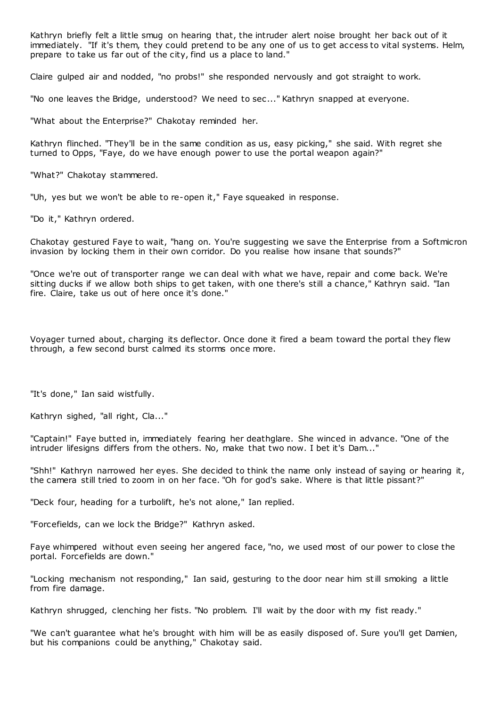Kathryn briefly felt a little smug on hearing that, the intruder alert noise brought her back out of it immediately. "If it's them, they could pretend to be any one of us to get access to vital systems. Helm, prepare to take us far out of the city, find us a place to land."

Claire gulped air and nodded, "no probs!" she responded nervously and got straight to work.

"No one leaves the Bridge, understood? We need to sec..." Kathryn snapped at everyone.

"What about the Enterprise?" Chakotay reminded her.

Kathryn flinched. "They'll be in the same condition as us, easy picking," she said. With regret she turned to Opps, "Faye, do we have enough power to use the portal weapon again?"

"What?" Chakotay stammered.

"Uh, yes but we won't be able to re-open it," Faye squeaked in response.

"Do it," Kathryn ordered.

Chakotay gestured Faye to wait, "hang on. You're suggesting we save the Enterprise from a Softmicron invasion by locking them in their own corridor. Do you realise how insane that sounds?"

"Once we're out of transporter range we can deal with what we have, repair and come back. We're sitting ducks if we allow both ships to get taken, with one there's still a chance," Kathryn said. "Ian fire. Claire, take us out of here once it's done."

Voyager turned about, charging its deflector. Once done it fired a beam toward the portal they flew through, a few second burst calmed its storms once more.

"It's done," Ian said wistfully.

Kathryn sighed, "all right, Cla..."

"Captain!" Faye butted in, immediately fearing her deathglare. She winced in advance. "One of the intruder lifesigns differs from the others. No, make that two now. I bet it's Dam..."

"Shh!" Kathryn narrowed her eyes. She decided to think the name only instead of saying or hearing it, the camera still tried to zoom in on her face. "Oh for god's sake. Where is that little pissant?"

"Deck four, heading for a turbolift, he's not alone," Ian replied.

"Forcefields, can we lock the Bridge?" Kathryn asked.

Faye whimpered without even seeing her angered face, "no, we used most of our power to close the portal. Forcefields are down."

"Locking mechanism not responding," Ian said, gesturing to the door near him still smoking a little from fire damage.

Kathryn shrugged, clenching her fists. "No problem. I'll wait by the door with my fist ready."

"We can't guarantee what he's brought with him will be as easily disposed of. Sure you'll get Damien, but his companions could be anything," Chakotay said.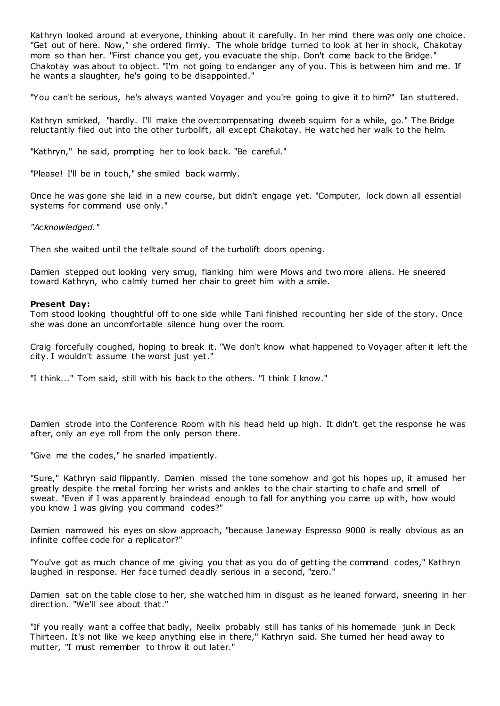Kathryn looked around at everyone, thinking about it carefully. In her mind there was only one choice. "Get out of here. Now," she ordered firmly. The whole bridge turned to look at her in shock, Chakotay more so than her. "First chance you get, you evacuate the ship. Don't come back to the Bridge." Chakotay was about to object. "I'm not going to endanger any of you. This is between him and me. If he wants a slaughter, he's going to be disappointed."

"You can't be serious, he's always wanted Voyager and you're going to give it to him?" Ian stuttered.

Kathryn smirked, "hardly. I'll make the overcompensating dweeb squirm for a while, go." The Bridge reluctantly filed out into the other turbolift, all except Chakotay. He watched her walk to the helm.

"Kathryn," he said, prompting her to look back. "Be careful."

"Please! I'll be in touch," she smiled back warmly.

Once he was gone she laid in a new course, but didn't engage yet. "Computer, lock down all essential systems for command use only."

*"Acknowledged."*

Then she waited until the telltale sound of the turbolift doors opening.

Damien stepped out looking very smug, flanking him were Mows and two more aliens. He sneered toward Kathryn, who calmly turned her chair to greet him with a smile.

#### **Present Day:**

Tom stood looking thoughtful off to one side while Tani finished recounting her side of the story. Once she was done an uncomfortable silence hung over the room.

Craig forcefully coughed, hoping to break it. "We don't know what happened to Voyager after it left the city. I wouldn't assume the worst just yet."

"I think..." Tom said, still with his back to the others. "I think I know."

Damien strode into the Conference Room with his head held up high. It didn't get the response he was after, only an eye roll from the only person there.

"Give me the codes," he snarled impatiently.

"Sure," Kathryn said flippantly. Damien missed the tone somehow and got his hopes up, it amused her greatly despite the metal forcing her wrists and ankles to the chair starting to chafe and smell of sweat. "Even if I was apparently braindead enough to fall for anything you came up with, how would you know I was giving you command codes?"

Damien narrowed his eyes on slow approach, "because Janeway Espresso 9000 is really obvious as an infinite coffee code for a replicator?"

"You've got as much chance of me giving you that as you do of getting the command codes," Kathryn laughed in response. Her face turned deadly serious in a second, "zero."

Damien sat on the table close to her, she watched him in disgust as he leaned forward, sneering in her direction. "We'll see about that."

"If you really want a coffee that badly, Neelix probably still has tanks of his homemade junk in Deck Thirteen. It's not like we keep anything else in there," Kathryn said. She turned her head away to mutter, "I must remember to throw it out later."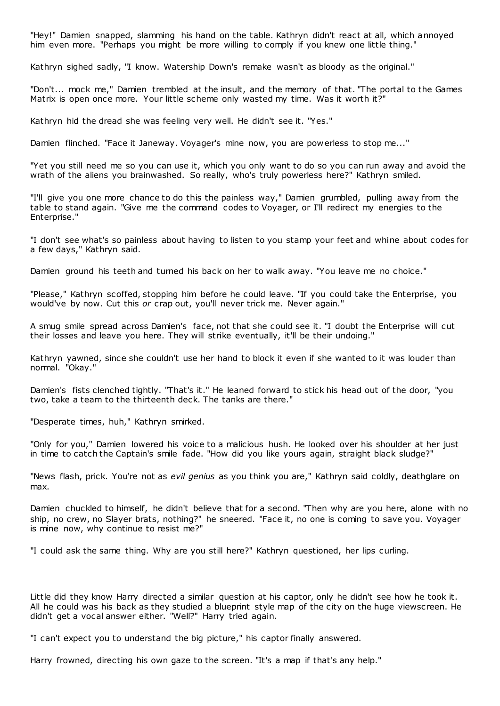"Hey!" Damien snapped, slamming his hand on the table. Kathryn didn't react at all, which annoyed him even more. "Perhaps you might be more willing to comply if you knew one little thing."

Kathryn sighed sadly, "I know. Watership Down's remake wasn't as bloody as the original."

"Don't... mock me," Damien trembled at the insult, and the memory of that. "The portal to the Games Matrix is open once more. Your little scheme only wasted my time. Was it worth it?"

Kathryn hid the dread she was feeling very well. He didn't see it. "Yes."

Damien flinched. "Face it Janeway. Voyager's mine now, you are powerless to stop me..."

"Yet you still need me so you can use it, which you only want to do so you can run away and avoid the wrath of the aliens you brainwashed. So really, who's truly powerless here?" Kathryn smiled.

"I'll give you one more chance to do this the painless way," Damien grumbled, pulling away from the table to stand again. "Give me the command codes to Voyager, or I'll redirect my energies to the Enterprise."

"I don't see what's so painless about having to listen to you stamp your feet and whine about codes for a few days," Kathryn said.

Damien ground his teeth and turned his back on her to walk away. "You leave me no choice."

"Please," Kathryn scoffed, stopping him before he could leave. "If you could take the Enterprise, you would've by now. Cut this *or* crap out, you'll never trick me. Never again."

A smug smile spread across Damien's face, not that she could see it. "I doubt the Enterprise will cut their losses and leave you here. They will strike eventually, it'll be their undoing."

Kathryn yawned, since she couldn't use her hand to block it even if she wanted to it was louder than normal. "Okay."

Damien's fists clenched tightly. "That's it." He leaned forward to stick his head out of the door, "you two, take a team to the thirteenth deck. The tanks are there."

"Desperate times, huh," Kathryn smirked.

"Only for you," Damien lowered his voice to a malicious hush. He looked over his shoulder at her just in time to catch the Captain's smile fade. "How did you like yours again, straight black sludge?"

"News flash, prick. You're not as *evil genius* as you think you are," Kathryn said coldly, deathglare on max.

Damien chuckled to himself, he didn't believe that for a second. "Then why are you here, alone with no ship, no crew, no Slayer brats, nothing?" he sneered. "Face it, no one is coming to save you. Voyager is mine now, why continue to resist me?"

"I could ask the same thing. Why are you still here?" Kathryn questioned, her lips curling.

Little did they know Harry directed a similar question at his captor, only he didn't see how he took it. All he could was his back as they studied a blueprint style map of the city on the huge viewscreen. He didn't get a vocal answer either. "Well?" Harry tried again.

"I can't expect you to understand the big picture," his captor finally answered.

Harry frowned, directing his own gaze to the screen. "It's a map if that's any help."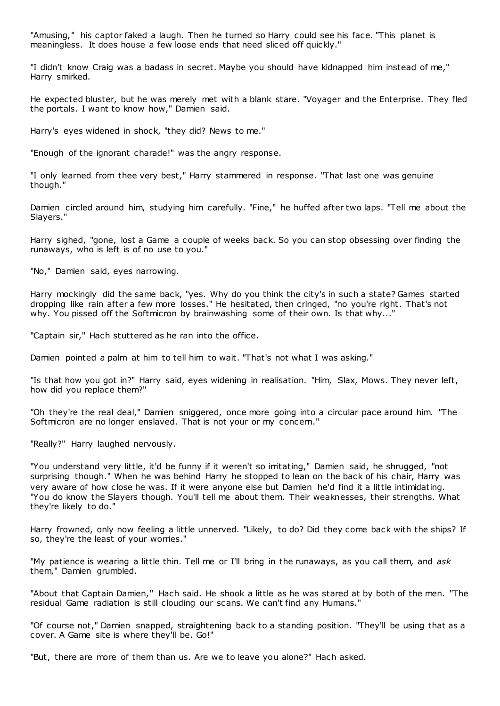"Amusing," his captor faked a laugh. Then he turned so Harry could see his face. "This planet is meaningless. It does house a few loose ends that need sliced off quickly."

"I didn't know Craig was a badass in secret. Maybe you should have kidnapped him instead of me," Harry smirked.

He expected bluster, but he was merely met with a blank stare. "Voyager and the Enterprise. They fled the portals. I want to know how," Damien said.

Harry's eyes widened in shock, "they did? News to me."

"Enough of the ignorant charade!" was the angry response.

"I only learned from thee very best," Harry stammered in response. "That last one was genuine though."

Damien circled around him, studying him carefully. "Fine," he huffed after two laps. "Tell me about the Slayers."

Harry sighed, "gone, lost a Game a couple of weeks back. So you can stop obsessing over finding the runaways, who is left is of no use to you."

"No," Damien said, eyes narrowing.

Harry mockingly did the same back, "yes. Why do you think the city's in such a state? Games started dropping like rain after a few more losses." He hesitated, then cringed, "no you're right. That's not why. You pissed off the Softmicron by brainwashing some of their own. Is that why..."

"Captain sir," Hach stuttered as he ran into the office.

Damien pointed a palm at him to tell him to wait. "That's not what I was asking."

"Is that how you got in?" Harry said, eyes widening in realisation. "Him, Slax, Mows. They never left, how did you replace them?"

"Oh they're the real deal," Damien sniggered, once more going into a circular pace around him. "The Softmicron are no longer enslaved. That is not your or my concern."

"Really?" Harry laughed nervously.

"You understand very little, it'd be funny if it weren't so irritating," Damien said, he shrugged, "not surprising though." When he was behind Harry he stopped to lean on the back of his chair, Harry was very aware of how close he was. If it were anyone else but Damien he'd find it a little intimidating. "You do know the Slayers though. You'll tell me about them. Their weaknesses, their strengths. What they're likely to do."

Harry frowned, only now feeling a little unnerved. "Likely, to do? Did they come back with the ships? If so, they're the least of your worries."

"My patience is wearing a little thin. Tell me or I'll bring in the runaways, as you call them, and *ask* them," Damien grumbled.

"About that Captain Damien," Hach said. He shook a little as he was stared at by both of the men. "The residual Game radiation is still clouding our scans. We can't find any Humans."

"Of course not," Damien snapped, straightening back to a standing position. "They'll be using that as a cover. A Game site is where they'll be. Go!"

"But, there are more of them than us. Are we to leave you alone?" Hach asked.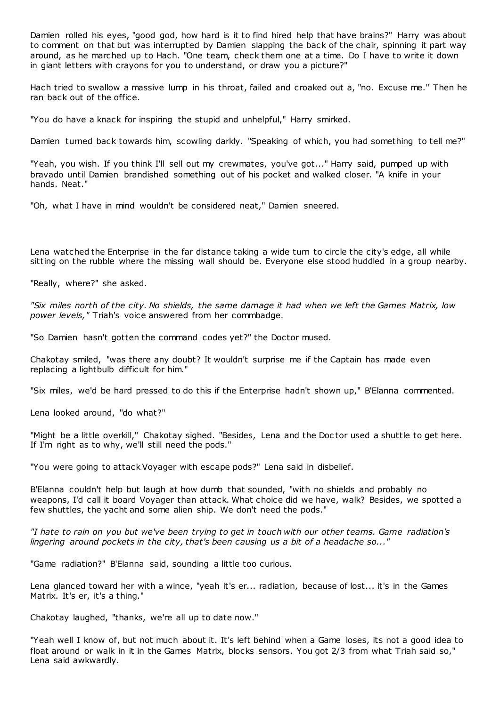Damien rolled his eyes, "good god, how hard is it to find hired help that have brains?" Harry was about to comment on that but was interrupted by Damien slapping the back of the chair, spinning it part way around, as he marched up to Hach. "One team, check them one at a time. Do I have to write it down in giant letters with crayons for you to understand, or draw you a picture?"

Hach tried to swallow a massive lump in his throat, failed and croaked out a, "no. Excuse me." Then he ran back out of the office.

"You do have a knack for inspiring the stupid and unhelpful," Harry smirked.

Damien turned back towards him, scowling darkly. "Speaking of which, you had something to tell me?"

"Yeah, you wish. If you think I'll sell out my crewmates, you've got..." Harry said, pumped up with bravado until Damien brandished something out of his pocket and walked closer. "A knife in your hands. Neat."

"Oh, what I have in mind wouldn't be considered neat," Damien sneered.

Lena watched the Enterprise in the far distance taking a wide turn to circle the city's edge, all while sitting on the rubble where the missing wall should be. Everyone else stood huddled in a group nearby.

"Really, where?" she asked.

*"Six miles north of the city. No shields, the same damage it had when we left the Games Matrix, low power levels,"* Triah's voice answered from her commbadge.

"So Damien hasn't gotten the command codes yet?" the Doctor mused.

Chakotay smiled, "was there any doubt? It wouldn't surprise me if the Captain has made even replacing a lightbulb difficult for him."

"Six miles, we'd be hard pressed to do this if the Enterprise hadn't shown up," B'Elanna commented.

Lena looked around, "do what?"

"Might be a little overkill," Chakotay sighed. "Besides, Lena and the Doc tor used a shuttle to get here. If I'm right as to why, we'll still need the pods."

"You were going to attack Voyager with escape pods?" Lena said in disbelief.

B'Elanna couldn't help but laugh at how dumb that sounded, "with no shields and probably no weapons, I'd call it board Voyager than attack. What choice did we have, walk? Besides, we spotted a few shuttles, the yacht and some alien ship. We don't need the pods."

*"I hate to rain on you but we've been trying to get in touch with our other teams. Game radiation's lingering around pockets in the city, that's been causing us a bit of a headache so..."*

"Game radiation?" B'Elanna said, sounding a little too curious.

Lena glanced toward her with a wince, "yeah it's er... radiation, because of lost... it's in the Games Matrix. It's er, it's a thing."

Chakotay laughed, "thanks, we're all up to date now."

"Yeah well I know of, but not much about it. It's left behind when a Game loses, its not a good idea to float around or walk in it in the Games Matrix, blocks sensors. You got 2/3 from what Triah said so," Lena said awkwardly.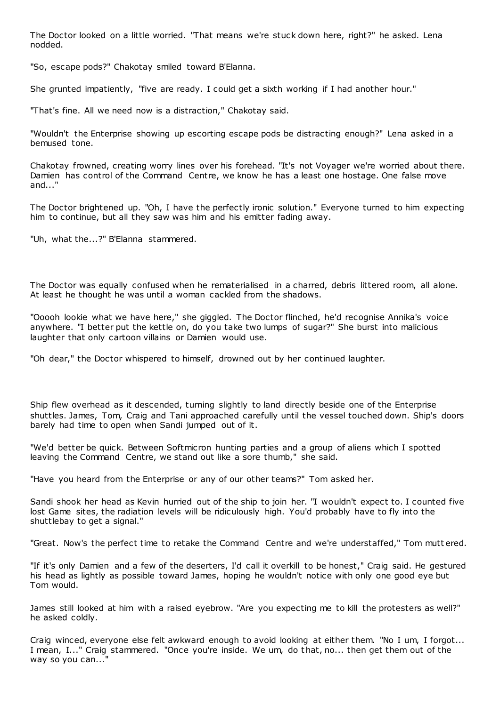The Doctor looked on a little worried. "That means we're stuck down here, right?" he asked. Lena nodded.

"So, escape pods?" Chakotay smiled toward B'Elanna.

She grunted impatiently, "five are ready. I could get a sixth working if I had another hour."

"That's fine. All we need now is a distraction," Chakotay said.

"Wouldn't the Enterprise showing up escorting escape pods be distracting enough?" Lena asked in a bemused tone.

Chakotay frowned, creating worry lines over his forehead. "It's not Voyager we're worried about there. Damien has control of the Command Centre, we know he has a least one hostage. One false move and..."

The Doctor brightened up. "Oh, I have the perfectly ironic solution." Everyone turned to him expecting him to continue, but all they saw was him and his emitter fading away.

"Uh, what the...?" B'Elanna stammered.

The Doctor was equally confused when he rematerialised in a charred, debris littered room, all alone. At least he thought he was until a woman cackled from the shadows.

"Ooooh lookie what we have here," she giggled. The Doctor flinched, he'd recognise Annika's voice anywhere. "I better put the kettle on, do you take two lumps of sugar?" She burst into malicious laughter that only cartoon villains or Damien would use.

"Oh dear," the Doctor whispered to himself, drowned out by her continued laughter.

Ship flew overhead as it descended, turning slightly to land directly beside one of the Enterprise shuttles. James, Tom, Craig and Tani approached carefully until the vessel touched down. Ship's doors barely had time to open when Sandi jumped out of it.

"We'd better be quick. Between Softmicron hunting parties and a group of aliens which I spotted leaving the Command Centre, we stand out like a sore thumb," she said.

"Have you heard from the Enterprise or any of our other teams?" Tom asked her.

Sandi shook her head as Kevin hurried out of the ship to join her. "I wouldn't expect to. I counted five lost Game sites, the radiation levels will be ridiculously high. You'd probably have to fly into the shuttlebay to get a signal."

"Great. Now's the perfect time to retake the Command Centre and we're understaffed," Tom mutt ered.

"If it's only Damien and a few of the deserters, I'd call it overkill to be honest," Craig said. He gestured his head as lightly as possible toward James, hoping he wouldn't notice with only one good eye but Tom would.

James still looked at him with a raised eyebrow. "Are you expecting me to kill the protesters as well?" he asked coldly.

Craig winced, everyone else felt awkward enough to avoid looking at either them. "No I um, I forgot... I mean, I..." Craig stammered. "Once you're inside. We um, do that, no... then get them out of the way so you can..."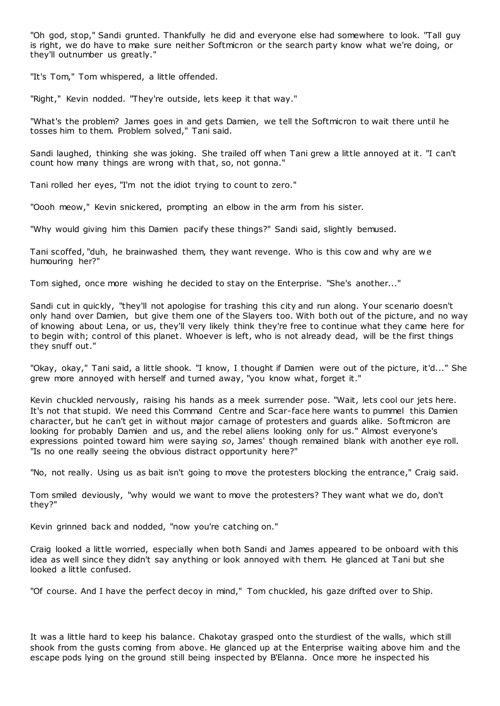"Oh god, stop," Sandi grunted. Thankfully he did and everyone else had somewhere to look. "Tall guy is right, we do have to make sure neither Softmicron or the search party know what we're doing, or they'll outnumber us greatly."

"It's Tom," Tom whispered, a little offended.

"Right," Kevin nodded. "They're outside, lets keep it that way."

"What's the problem? James goes in and gets Damien, we tell the Softmicron to wait there until he tosses him to them. Problem solved," Tani said.

Sandi laughed, thinking she was joking. She trailed off when Tani grew a little annoyed at it. "I can't count how many things are wrong with that, so, not gonna."

Tani rolled her eyes, "I'm not the idiot trying to count to zero."

"Oooh meow," Kevin snickered, prompting an elbow in the arm from his sister.

"Why would giving him this Damien pacify these things?" Sandi said, slightly bemused.

Tani scoffed, "duh, he brainwashed them, they want revenge. Who is this cow and why are w e humouring her?"

Tom sighed, once more wishing he decided to stay on the Enterprise. "She's another..."

Sandi cut in quickly, "they'll not apologise for trashing this city and run along. Your scenario doesn't only hand over Damien, but give them one of the Slayers too. With both out of the picture, and no way of knowing about Lena, or us, they'll very likely think they're free to continue what they came here for to begin with; control of this planet. Whoever is left, who is not already dead, will be the first things they snuff out."

"Okay, okay," Tani said, a little shook. "I know, I thought if Damien were out of the picture, it'd..." She grew more annoyed with herself and turned away, "you know what, forget it."

Kevin chuckled nervously, raising his hands as a meek surrender pose. "Wait, lets cool our jets here. It's not that stupid. We need this Command Centre and Scar-face here wants to pummel this Damien character, but he can't get in without major carnage of protesters and guards alike. Softmicron are looking for probably Damien and us, and the rebel aliens looking only for us." Almost everyone's expressions pointed toward him were saying *so*, James' though remained blank with another eye roll. "Is no one really seeing the obvious distract opportunity here?"

"No, not really. Using us as bait isn't going to move the protesters blocking the entrance," Craig said.

Tom smiled deviously, "why would we want to move the protesters? They want what we do, don't they?"

Kevin grinned back and nodded, "now you're catching on."

Craig looked a little worried, especially when both Sandi and James appeared to be onboard with this idea as well since they didn't say anything or look annoyed with them. He glanced at Tani but she looked a little confused.

"Of course. And I have the perfect decoy in mind," Tom chuckled, his gaze drifted over to Ship.

It was a little hard to keep his balance. Chakotay grasped onto the sturdiest of the walls, which still shook from the gusts coming from above. He glanced up at the Enterprise waiting above him and the escape pods lying on the ground still being inspected by B'Elanna. Once more he inspected his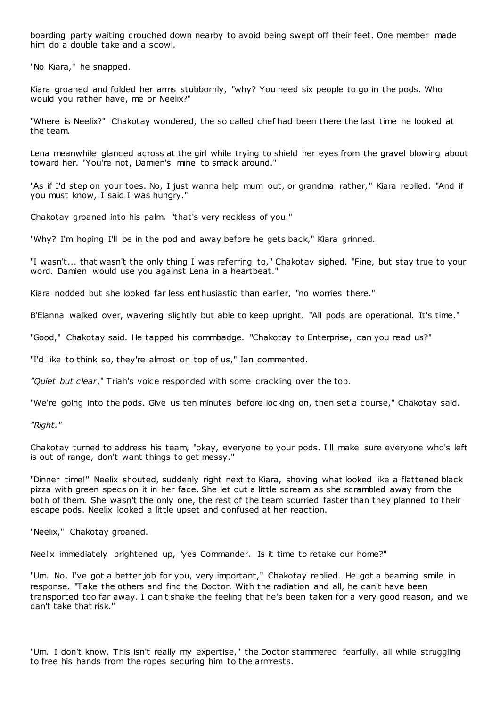boarding party waiting crouched down nearby to avoid being swept off their feet. One member made him do a double take and a scowl.

"No Kiara," he snapped.

Kiara groaned and folded her arms stubbornly, "why? You need six people to go in the pods. Who would you rather have, me or Neelix?"

"Where is Neelix?" Chakotay wondered, the so called chef had been there the last time he looked at the team.

Lena meanwhile glanced across at the girl while trying to shield her eyes from the gravel blowing about toward her. "You're not, Damien's mine to smack around."

"As if I'd step on your toes. No, I just wanna help mum out, or grandma rather, " Kiara replied. "And if you must know, I said I was hungry."

Chakotay groaned into his palm, "that's very reckless of you."

"Why? I'm hoping I'll be in the pod and away before he gets back," Kiara grinned.

"I wasn't... that wasn't the only thing I was referring to," Chakotay sighed. "Fine, but stay true to your word. Damien would use you against Lena in a heartbeat."

Kiara nodded but she looked far less enthusiastic than earlier, "no worries there."

B'Elanna walked over, wavering slightly but able to keep upright. "All pods are operational. It's time."

"Good," Chakotay said. He tapped his commbadge. "Chakotay to Enterprise, can you read us?"

"I'd like to think so, they're almost on top of us," Ian commented.

*"Quiet but clear*," Triah's voice responded with some crackling over the top.

"We're going into the pods. Give us ten minutes before locking on, then set a course," Chakotay said.

*"Right."*

Chakotay turned to address his team, "okay, everyone to your pods. I'll make sure everyone who's left is out of range, don't want things to get messy."

"Dinner time!" Neelix shouted, suddenly right next to Kiara, shoving what looked like a flattened black pizza with green specs on it in her face. She let out a little scream as she scrambled away from the both of them. She wasn't the only one, the rest of the team scurried faster than they planned to their escape pods. Neelix looked a little upset and confused at her reaction.

"Neelix," Chakotay groaned.

Neelix immediately brightened up, "yes Commander. Is it time to retake our home?"

"Um. No, I've got a better job for you, very important," Chakotay replied. He got a beaming smile in response. "Take the others and find the Doctor. With the radiation and all, he can't have been transported too far away. I can't shake the feeling that he's been taken for a very good reason, and we can't take that risk."

"Um. I don't know. This isn't really my expertise," the Doctor stammered fearfully, all while struggling to free his hands from the ropes securing him to the armrests.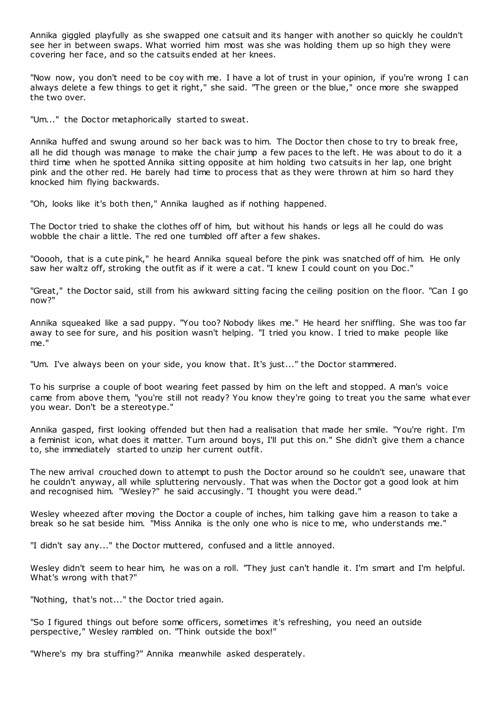Annika giggled playfully as she swapped one catsuit and its hanger with another so quickly he couldn't see her in between swaps. What worried him most was she was holding them up so high they were covering her face, and so the catsuits ended at her knees.

"Now now, you don't need to be coy with me. I have a lot of trust in your opinion, if you're wrong I can always delete a few things to get it right," she said. "The green or the blue," once more she swapped the two over.

"Um..." the Doctor metaphorically started to sweat.

Annika huffed and swung around so her back was to him. The Doctor then chose to try to break free, all he did though was manage to make the chair jump a few paces to the left. He was about to do it a third time when he spotted Annika sitting opposite at him holding two catsuits in her lap, one bright pink and the other red. He barely had time to process that as they were thrown at him so hard they knocked him flying backwards.

"Oh, looks like it's both then," Annika laughed as if nothing happened.

The Doctor tried to shake the clothes off of him, but without his hands or legs all he could do was wobble the chair a little. The red one tumbled off after a few shakes.

"Ooooh, that is a cute pink," he heard Annika squeal before the pink was snatched off of him. He only saw her waltz off, stroking the outfit as if it were a cat. "I knew I could count on you Doc ."

"Great," the Doctor said, still from his awkward sitting facing the ceiling position on the floor. "Can I go now?"

Annika squeaked like a sad puppy. "You too? Nobody likes me." He heard her sniffling. She was too far away to see for sure, and his position wasn't helping. "I tried you know. I tried to make people like me."

"Um. I've always been on your side, you know that. It's just..." the Doctor stammered.

To his surprise a couple of boot wearing feet passed by him on the left and stopped. A man's voice came from above them, "you're still not ready? You know they're going to treat you the same what ever you wear. Don't be a stereotype."

Annika gasped, first looking offended but then had a realisation that made her smile. "You're right. I'm a feminist icon, what does it matter. Turn around boys, I'll put this on." She didn't give them a chance to, she immediately started to unzip her current outfit.

The new arrival crouched down to attempt to push the Doctor around so he couldn't see, unaware that he couldn't anyway, all while spluttering nervously. That was when the Doctor got a good look at him and recognised him. "Wesley?" he said accusingly. "I thought you were dead."

Wesley wheezed after moving the Doctor a couple of inches, him talking gave him a reason to take a break so he sat beside him. "Miss Annika is the only one who is nice to me, who understands me."

"I didn't say any..." the Doctor muttered, confused and a little annoyed.

Wesley didn't seem to hear him, he was on a roll. "They just can't handle it. I'm smart and I'm helpful. What's wrong with that?"

"Nothing, that's not..." the Doctor tried again.

"So I figured things out before some officers, sometimes it's refreshing, you need an outside perspective," Wesley rambled on. "Think outside the box!"

"Where's my bra stuffing?" Annika meanwhile asked desperately.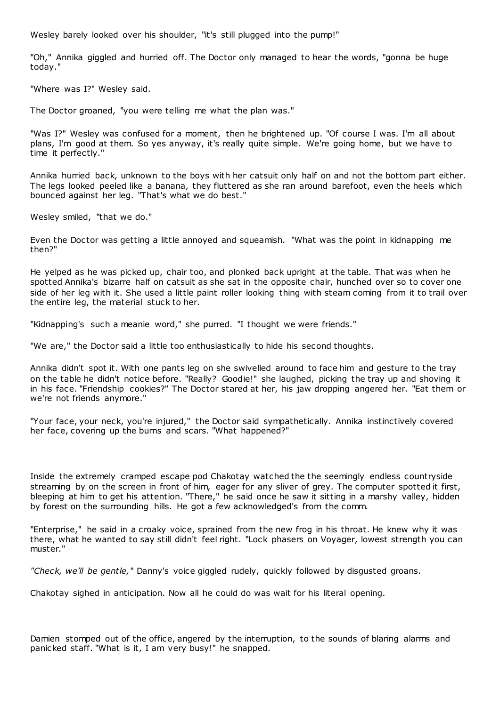Wesley barely looked over his shoulder, "it's still plugged into the pump!"

"Oh," Annika giggled and hurried off. The Doctor only managed to hear the words, "gonna be huge today."

"Where was I?" Wesley said.

The Doctor groaned, "you were telling me what the plan was."

"Was I?" Wesley was confused for a moment, then he brightened up. "Of course I was. I'm all about plans, I'm good at them. So yes anyway, it's really quite simple. We're going home, but we have to time it perfectly."

Annika hurried back, unknown to the boys with her catsuit only half on and not the bottom part either. The legs looked peeled like a banana, they fluttered as she ran around barefoot, even the heels which bounced against her leg. "That's what we do best."

Wesley smiled, "that we do."

Even the Doctor was getting a little annoyed and squeamish. "What was the point in kidnapping me then?"

He yelped as he was picked up, chair too, and plonked back upright at the table. That was when he spotted Annika's bizarre half on catsuit as she sat in the opposite chair, hunched over so to cover one side of her leg with it. She used a little paint roller looking thing with steam coming from it to trail over the entire leg, the material stuck to her.

"Kidnapping's such a meanie word," she purred. "I thought we were friends."

"We are," the Doctor said a little too enthusiastically to hide his second thoughts.

Annika didn't spot it. With one pants leg on she swivelled around to face him and gesture to the tray on the table he didn't notice before. "Really? Goodie!" she laughed, picking the tray up and shoving it in his face. "Friendship cookies?" The Doctor stared at her, his jaw dropping angered her. "Eat them or we're not friends anymore."

"Your face, your neck, you're injured," the Doctor said sympathetically. Annika instinctively covered her face, covering up the burns and scars. "What happened?"

Inside the extremely cramped escape pod Chakotay watched the the seemingly endless countryside streaming by on the screen in front of him, eager for any sliver of grey. The computer spotted it first, bleeping at him to get his attention. "There," he said once he saw it sitting in a marshy valley, hidden by forest on the surrounding hills. He got a few acknowledged's from the comm.

"Enterprise," he said in a croaky voice, sprained from the new frog in his throat. He knew why it was there, what he wanted to say still didn't feel right. "Lock phasers on Voyager, lowest strength you can muster."

*"Check, we'll be gentle,"* Danny's voice giggled rudely, quickly followed by disgusted groans.

Chakotay sighed in anticipation. Now all he could do was wait for his literal opening.

Damien stomped out of the office, angered by the interruption, to the sounds of blaring alarms and panicked staff. "What is it, I am very busy!" he snapped.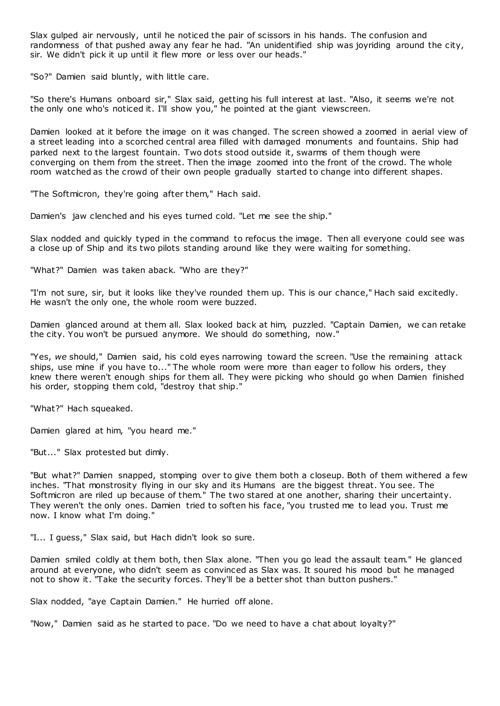Slax gulped air nervously, until he noticed the pair of scissors in his hands. The confusion and randomness of that pushed away any fear he had. "An unidentified ship was joyriding around the city, sir. We didn't pick it up until it flew more or less over our heads."

"So?" Damien said bluntly, with little care.

"So there's Humans onboard sir," Slax said, getting his full interest at last. "Also, it seems we're not the only one who's noticed it. I'll show you," he pointed at the giant viewscreen.

Damien looked at it before the image on it was changed. The screen showed a zoomed in aerial view of a street leading into a scorched central area filled with damaged monuments and fountains. Ship had parked next to the largest fountain. Two dots stood outside it, swarms of them though were converging on them from the street. Then the image zoomed into the front of the crowd. The whole room watched as the crowd of their own people gradually started to change into different shapes.

"The Softmicron, they're going after them," Hach said.

Damien's jaw clenched and his eyes turned cold. "Let me see the ship."

Slax nodded and quickly typed in the command to refocus the image. Then all everyone could see was a close up of Ship and its two pilots standing around like they were waiting for something.

"What?" Damien was taken aback. "Who are they?"

"I'm not sure, sir, but it looks like they've rounded them up. This is our chance," Hach said excitedly. He wasn't the only one, the whole room were buzzed.

Damien glanced around at them all. Slax looked back at him, puzzled. "Captain Damien, we can retake the city. You won't be pursued anymore. We should do something, now."

"Yes, *we* should," Damien said, his cold eyes narrowing toward the screen. "Use the remaining attack ships, use mine if you have to..." The whole room were more than eager to follow his orders, they knew there weren't enough ships for them all. They were picking who should go when Damien finished his order, stopping them cold, "destroy that ship."

"What?" Hach squeaked.

Damien glared at him, "you heard me."

"But..." Slax protested but dimly.

"But what?" Damien snapped, stomping over to give them both a closeup. Both of them withered a few inches. "That monstrosity flying in our sky and its Humans are the biggest threat. You see. The Softmicron are riled up because of them." The two stared at one another, sharing their uncertainty. They weren't the only ones. Damien tried to soften his face, "you trusted me to lead you. Trust me now. I know what I'm doing."

"I... I guess," Slax said, but Hach didn't look so sure.

Damien smiled coldly at them both, then Slax alone. "Then you go lead the assault team." He glanced around at everyone, who didn't seem as convinced as Slax was. It soured his mood but he managed not to show it. "Take the security forces. They'll be a better shot than button pushers."

Slax nodded, "aye Captain Damien." He hurried off alone.

"Now," Damien said as he started to pace. "Do we need to have a chat about loyalty?"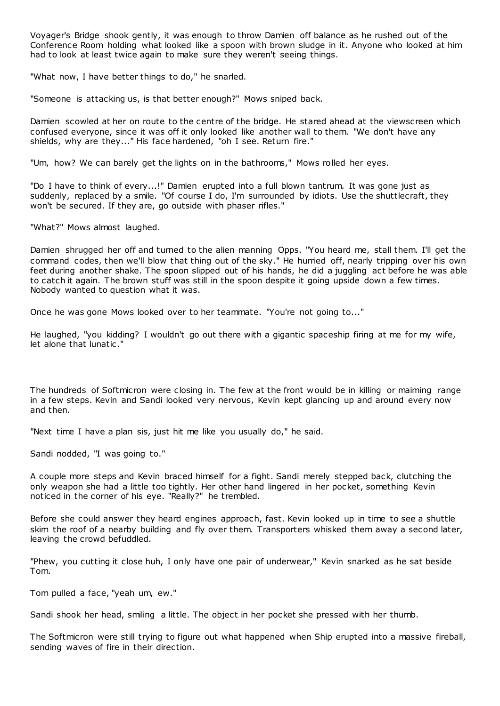Voyager's Bridge shook gently, it was enough to throw Damien off balance as he rushed out of the Conference Room holding what looked like a spoon with brown sludge in it. Anyone who looked at him had to look at least twice again to make sure they weren't seeing things.

"What now, I have better things to do," he snarled.

"Someone is attacking us, is that better enough?" Mows sniped back.

Damien scowled at her on route to the centre of the bridge. He stared ahead at the viewscreen which confused everyone, since it was off it only looked like another wall to them. "We don't have any shields, why are they..." His face hardened, "oh I see. Return fire."

"Um, how? We can barely get the lights on in the bathrooms," Mows rolled her eyes.

"Do I have to think of every...!" Damien erupted into a full blown tantrum. It was gone just as suddenly, replaced by a smile. "Of course I do, I'm surrounded by idiots. Use the shuttlecraft, they won't be secured. If they are, go outside with phaser rifles."

"What?" Mows almost laughed.

Damien shrugged her off and turned to the alien manning Opps. "You heard me, stall them. I'll get the command codes, then we'll blow that thing out of the sky." He hurried off, nearly tripping over his own feet during another shake. The spoon slipped out of his hands, he did a juggling act before he was able to catch it again. The brown stuff was still in the spoon despite it going upside down a few times. Nobody wanted to question what it was.

Once he was gone Mows looked over to her teammate. "You're not going to..."

He laughed, "you kidding? I wouldn't go out there with a gigantic spaceship firing at me for my wife, let alone that lunatic ."

The hundreds of Softmicron were closing in. The few at the front would be in killing or maiming range in a few steps. Kevin and Sandi looked very nervous, Kevin kept glancing up and around every now and then.

"Next time I have a plan sis, just hit me like you usually do," he said.

Sandi nodded, "I was going to."

A couple more steps and Kevin braced himself for a fight. Sandi merely stepped back, clutching the only weapon she had a little too tightly. Her other hand lingered in her pocket, something Kevin noticed in the corner of his eye. "Really?" he trembled.

Before she could answer they heard engines approach, fast. Kevin looked up in time to see a shuttle skim the roof of a nearby building and fly over them. Transporters whisked them away a second later, leaving the crowd befuddled.

"Phew, you cutting it close huh, I only have one pair of underwear," Kevin snarked as he sat beside Tom.

Tom pulled a face, "yeah um, ew."

Sandi shook her head, smiling a little. The object in her pocket she pressed with her thumb.

The Softmicron were still trying to figure out what happened when Ship erupted into a massive fireball, sending waves of fire in their direction.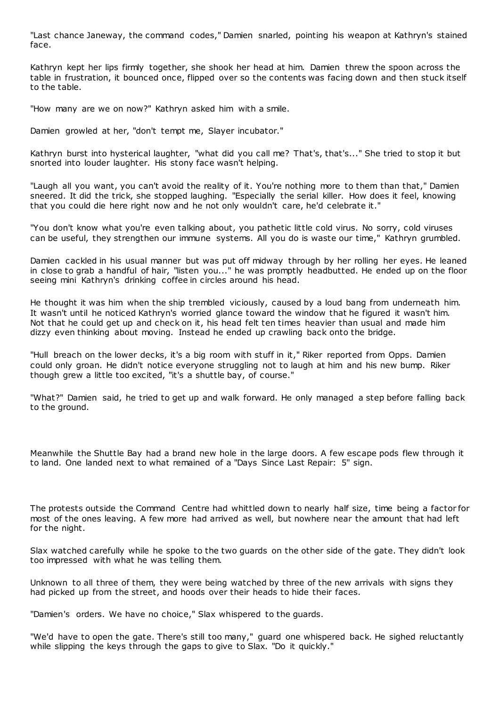"Last chance Janeway, the command codes," Damien snarled, pointing his weapon at Kathryn's stained face.

Kathryn kept her lips firmly together, she shook her head at him. Damien threw the spoon across the table in frustration, it bounced once, flipped over so the contents was facing down and then stuck itself to the table.

"How many are we on now?" Kathryn asked him with a smile.

Damien growled at her, "don't tempt me, Slayer incubator."

Kathryn burst into hysterical laughter, "what did you call me? That's, that's..." She tried to stop it but snorted into louder laughter. His stony face wasn't helping.

"Laugh all you want, you can't avoid the reality of it. You're nothing more to them than that," Damien sneered. It did the trick, she stopped laughing. "Especially the serial killer. How does it feel, knowing that you could die here right now and he not only wouldn't care, he'd celebrate it."

"You don't know what you're even talking about, you pathetic little cold virus. No sorry, cold viruses can be useful, they strengthen our immune systems. All you do is waste our time," Kathryn grumbled.

Damien cackled in his usual manner but was put off midway through by her rolling her eyes. He leaned in close to grab a handful of hair, "listen you..." he was promptly headbutted. He ended up on the floor seeing mini Kathryn's drinking coffee in circles around his head.

He thought it was him when the ship trembled viciously, caused by a loud bang from underneath him. It wasn't until he noticed Kathryn's worried glance toward the window that he figured it wasn't him. Not that he could get up and check on it, his head felt ten times heavier than usual and made him dizzy even thinking about moving. Instead he ended up crawling back onto the bridge.

"Hull breach on the lower decks, it's a big room with stuff in it," Riker reported from Opps. Damien could only groan. He didn't notice everyone struggling not to laugh at him and his new bump. Riker though grew a little too excited, "it's a shuttle bay, of course."

"What?" Damien said, he tried to get up and walk forward. He only managed a step before falling back to the ground.

Meanwhile the Shuttle Bay had a brand new hole in the large doors. A few escape pods flew through it to land. One landed next to what remained of a "Days Since Last Repair: 5" sign.

The protests outside the Command Centre had whittled down to nearly half size, time being a factor for most of the ones leaving. A few more had arrived as well, but nowhere near the amount that had left for the night.

Slax watched carefully while he spoke to the two guards on the other side of the gate. They didn't look too impressed with what he was telling them.

Unknown to all three of them, they were being watched by three of the new arrivals with signs they had picked up from the street, and hoods over their heads to hide their faces.

"Damien's orders. We have no choice," Slax whispered to the guards.

"We'd have to open the gate. There's still too many," guard one whispered back. He sighed reluctantly while slipping the keys through the gaps to give to Slax. "Do it quickly."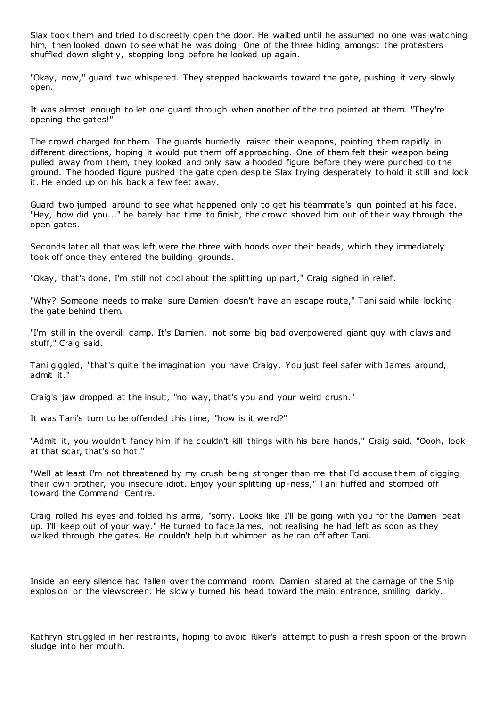Slax took them and tried to discreetly open the door. He waited until he assumed no one was watching him, then looked down to see what he was doing. One of the three hiding amongst the protesters shuffled down slightly, stopping long before he looked up again.

"Okay, now," guard two whispered. They stepped backwards toward the gate, pushing it very slowly open.

It was almost enough to let one guard through when another of the trio pointed at them. "They're opening the gates!"

The crowd charged for them. The guards hurriedly raised their weapons, pointing them rapidly in different directions, hoping it would put them off approaching. One of them felt their weapon being pulled away from them, they looked and only saw a hooded figure before they were punched to the ground. The hooded figure pushed the gate open despite Slax trying desperately to hold it still and lock it. He ended up on his back a few feet away.

Guard two jumped around to see what happened only to get his teammate's gun pointed at his face. "Hey, how did you..." he barely had time to finish, the crowd shoved him out of their way through the open gates.

Seconds later all that was left were the three with hoods over their heads, which they immediately took off once they entered the building grounds.

"Okay, that's done, I'm still not cool about the splitting up part," Craig sighed in relief.

"Why? Someone needs to make sure Damien doesn't have an escape route," Tani said while locking the gate behind them.

"I'm still in the overkill camp. It's Damien, not some big bad overpowered giant guy with claws and stuff," Craig said.

Tani giggled, "that's quite the imagination you have Craigy. You just feel safer with James around, admit it."

Craig's jaw dropped at the insult, "no way, that's you and your weird crush."

It was Tani's turn to be offended this time, "how is it weird?"

"Admit it, you wouldn't fancy him if he couldn't kill things with his bare hands," Craig said. "Oooh, look at that scar, that's so hot."

"Well at least I'm not threatened by my crush being stronger than me that I'd accuse them of digging their own brother, you insecure idiot. Enjoy your splitting up-ness," Tani huffed and stomped off toward the Command Centre.

Craig rolled his eyes and folded his arms, "sorry. Looks like I'll be going with you for the Damien beat up. I'll keep out of your way." He turned to face James, not realising he had left as soon as they walked through the gates. He couldn't help but whimper as he ran off after Tani.

Inside an eery silence had fallen over the command room. Damien stared at the carnage of the Ship explosion on the viewscreen. He slowly turned his head toward the main entrance, smiling darkly.

Kathryn struggled in her restraints, hoping to avoid Riker's attempt to push a fresh spoon of the brown sludge into her mouth.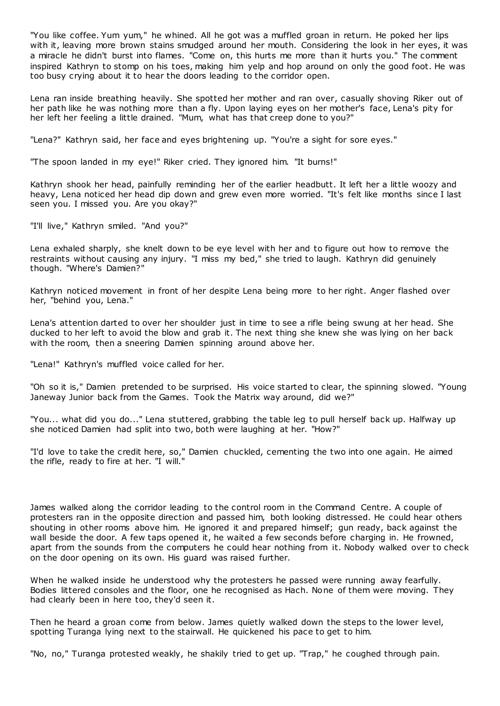"You like coffee. Yum yum," he whined. All he got was a muffled groan in return. He poked her lips with it, leaving more brown stains smudged around her mouth. Considering the look in her eyes, it was a miracle he didn't burst into flames. "Come on, this hurts me more than it hurts you." The comment inspired Kathryn to stomp on his toes, making him yelp and hop around on only the good foot. He was too busy crying about it to hear the doors leading to the corridor open.

Lena ran inside breathing heavily. She spotted her mother and ran over, casually shoving Riker out of her path like he was nothing more than a fly. Upon laying eyes on her mother's face, Lena's pity for her left her feeling a little drained. "Mum, what has that creep done to you?"

"Lena?" Kathryn said, her face and eyes brightening up. "You're a sight for sore eyes."

"The spoon landed in my eye!" Riker cried. They ignored him. "It burns!"

Kathryn shook her head, painfully reminding her of the earlier headbutt. It left her a little woozy and heavy, Lena noticed her head dip down and grew even more worried. "It's felt like months since I last seen you. I missed you. Are you okay?"

"I'll live," Kathryn smiled. "And you?"

Lena exhaled sharply, she knelt down to be eye level with her and to figure out how to remove the restraints without causing any injury. "I miss my bed," she tried to laugh. Kathryn did genuinely though. "Where's Damien?"

Kathryn noticed movement in front of her despite Lena being more to her right. Anger flashed over her, "behind you, Lena."

Lena's attention darted to over her shoulder just in time to see a rifle being swung at her head. She ducked to her left to avoid the blow and grab it. The next thing she knew she was lying on her back with the room, then a sneering Damien spinning around above her.

"Lena!" Kathryn's muffled voice called for her.

"Oh so it is," Damien pretended to be surprised. His voice started to clear, the spinning slowed. "Young Janeway Junior back from the Games. Took the Matrix way around, did we?"

"You... what did you do..." Lena stuttered, grabbing the table leg to pull herself back up. Halfway up she noticed Damien had split into two, both were laughing at her. "How?"

"I'd love to take the credit here, so," Damien chuckled, cementing the two into one again. He aimed the rifle, ready to fire at her. "I will."

James walked along the corridor leading to the control room in the Command Centre. A couple of protesters ran in the opposite direction and passed him, both looking distressed. He could hear others shouting in other rooms above him. He ignored it and prepared himself; gun ready, back against the wall beside the door. A few taps opened it, he waited a few seconds before charging in. He frowned, apart from the sounds from the computers he could hear nothing from it. Nobody walked over to check on the door opening on its own. His guard was raised further.

When he walked inside he understood why the protesters he passed were running away fearfully. Bodies littered consoles and the floor, one he recognised as Hach. None of them were moving. They had clearly been in here too, they'd seen it.

Then he heard a groan come from below. James quietly walked down the steps to the lower level, spotting Turanga lying next to the stairwall. He quickened his pace to get to him.

"No, no," Turanga protested weakly, he shakily tried to get up. "Trap," he coughed through pain.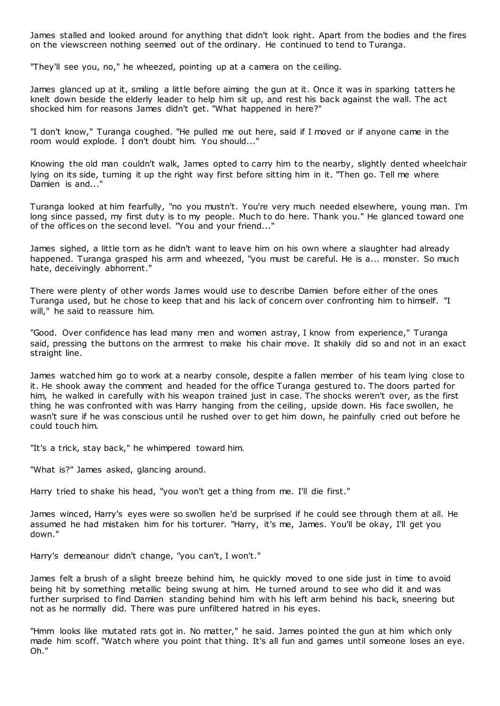James stalled and looked around for anything that didn't look right. Apart from the bodies and the fires on the viewscreen nothing seemed out of the ordinary. He continued to tend to Turanga.

"They'll see you, no," he wheezed, pointing up at a camera on the ceiling.

James glanced up at it, smiling a little before aiming the gun at it. Once it was in sparking tatters he knelt down beside the elderly leader to help him sit up, and rest his back against the wall. The act shocked him for reasons James didn't get. "What happened in here?"

"I don't know," Turanga coughed. "He pulled me out here, said if I moved or if anyone came in the room would explode. I don't doubt him. You should..."

Knowing the old man couldn't walk, James opted to carry him to the nearby, slightly dented wheelchair lying on its side, turning it up the right way first before sitting him in it. "Then go. Tell me where Damien is and...

Turanga looked at him fearfully, "no you mustn't. You're very much needed elsewhere, young man. I'm long since passed, my first duty is to my people. Much to do here. Thank you." He glanced toward one of the offices on the second level. "You and your friend..."

James sighed, a little torn as he didn't want to leave him on his own where a slaughter had already happened. Turanga grasped his arm and wheezed, "you must be careful. He is a... monster. So much hate, deceivingly abhorrent."

There were plenty of other words James would use to describe Damien before either of the ones Turanga used, but he chose to keep that and his lack of concern over confronting him to himself. "I will," he said to reassure him.

"Good. Over confidence has lead many men and women astray, I know from experience," Turanga said, pressing the buttons on the armrest to make his chair move. It shakily did so and not in an exact straight line.

James watched him go to work at a nearby console, despite a fallen member of his team lying close to it. He shook away the comment and headed for the office Turanga gestured to. The doors parted for him, he walked in carefully with his weapon trained just in case. The shocks weren't over, as the first thing he was confronted with was Harry hanging from the ceiling, upside down. His face swollen, he wasn't sure if he was conscious until he rushed over to get him down, he painfully cried out before he could touch him.

"It's a trick, stay back," he whimpered toward him.

"What is?" James asked, glancing around.

Harry tried to shake his head, "you won't get a thing from me. I'll die first."

James winced, Harry's eyes were so swollen he'd be surprised if he could see through them at all. He assumed he had mistaken him for his torturer. "Harry, it's me, James. You'll be okay, I'll get you down."

Harry's demeanour didn't change, "you can't, I won't."

James felt a brush of a slight breeze behind him, he quickly moved to one side just in time to avoid being hit by something metallic being swung at him. He turned around to see who did it and was further surprised to find Damien standing behind him with his left arm behind his back, sneering but not as he normally did. There was pure unfiltered hatred in his eyes.

"Hmm looks like mutated rats got in. No matter," he said. James pointed the gun at him which only made him scoff. "Watch where you point that thing. It's all fun and games until someone loses an eye. Oh."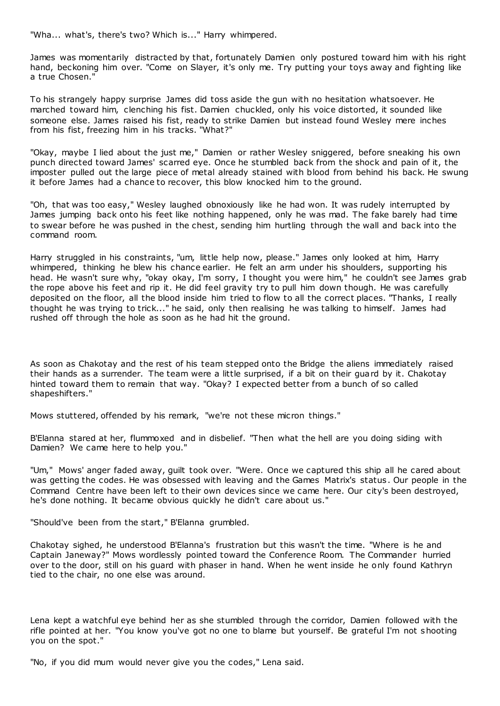"Wha... what's, there's two? Which is..." Harry whimpered.

James was momentarily distracted by that, fortunately Damien only postured toward him with his right hand, beckoning him over. "Come on Slayer, it's only me. Try putting your toys away and fighting like a true Chosen."

To his strangely happy surprise James did toss aside the gun with no hesitation whatsoever. He marched toward him, clenching his fist. Damien chuckled, only his voice distorted, it sounded like someone else. James raised his fist, ready to strike Damien but instead found Wesley mere inches from his fist, freezing him in his tracks. "What?"

"Okay, maybe I lied about the just me," Damien or rather Wesley sniggered, before sneaking his own punch directed toward James' scarred eye. Once he stumbled back from the shock and pain of it, the imposter pulled out the large piece of metal already stained with blood from behind his back. He swung it before James had a chance to recover, this blow knocked him to the ground.

"Oh, that was too easy," Wesley laughed obnoxiously like he had won. It was rudely interrupted by James jumping back onto his feet like nothing happened, only he was mad. The fake barely had time to swear before he was pushed in the chest, sending him hurtling through the wall and back into the command room.

Harry struggled in his constraints, "um, little help now, please." James only looked at him, Harry whimpered, thinking he blew his chance earlier. He felt an arm under his shoulders, supporting his head. He wasn't sure why, "okay okay, I'm sorry, I thought you were him," he couldn't see James grab the rope above his feet and rip it. He did feel gravity try to pull him down though. He was carefully deposited on the floor, all the blood inside him tried to flow to all the correct places. "Thanks, I really thought he was trying to trick..." he said, only then realising he was talking to himself. James had rushed off through the hole as soon as he had hit the ground.

As soon as Chakotay and the rest of his team stepped onto the Bridge the aliens immediately raised their hands as a surrender. The team were a little surprised, if a bit on their guard by it. Chakotay hinted toward them to remain that way. "Okay? I expected better from a bunch of so called shapeshifters."

Mows stuttered, offended by his remark, "we're not these micron things."

B'Elanna stared at her, flummoxed and in disbelief. "Then what the hell are you doing siding with Damien? We came here to help you."

"Um," Mows' anger faded away, guilt took over. "Were. Once we captured this ship all he cared about was getting the codes. He was obsessed with leaving and the Games Matrix's status . Our people in the Command Centre have been left to their own devices since we came here. Our city's been destroyed, he's done nothing. It became obvious quickly he didn't care about us."

"Should've been from the start," B'Elanna grumbled.

Chakotay sighed, he understood B'Elanna's frustration but this wasn't the time. "Where is he and Captain Janeway?" Mows wordlessly pointed toward the Conference Room. The Commander hurried over to the door, still on his guard with phaser in hand. When he went inside he only found Kathryn tied to the chair, no one else was around.

Lena kept a watchful eye behind her as she stumbled through the corridor, Damien followed with the rifle pointed at her. "You know you've got no one to blame but yourself. Be grateful I'm not shooting you on the spot."

"No, if you did mum would never give you the codes," Lena said.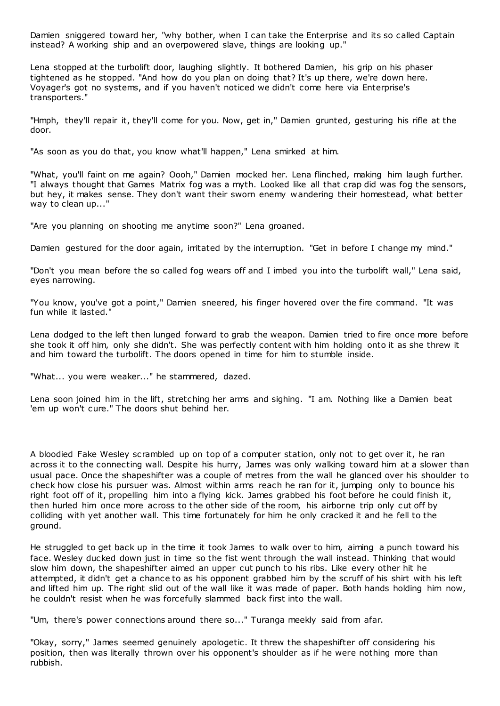Damien sniggered toward her, "why bother, when I can take the Enterprise and its so called Captain instead? A working ship and an overpowered slave, things are looking up."

Lena stopped at the turbolift door, laughing slightly. It bothered Damien, his grip on his phaser tightened as he stopped. "And how do you plan on doing that? It's up there, we're down here. Voyager's got no systems, and if you haven't noticed we didn't come here via Enterprise's transporters."

"Hmph, they'll repair it, they'll come for you. Now, get in," Damien grunted, gesturing his rifle at the door.

"As soon as you do that, you know what'll happen," Lena smirked at him.

"What, you'll faint on me again? Oooh," Damien mocked her. Lena flinched, making him laugh further. "I always thought that Games Matrix fog was a myth. Looked like all that crap did was fog the sensors, but hey, it makes sense. They don't want their sworn enemy wandering their homestead, what better way to clean up..."

"Are you planning on shooting me anytime soon?" Lena groaned.

Damien gestured for the door again, irritated by the interruption. "Get in before I change my mind."

"Don't you mean before the so called fog wears off and I imbed you into the turbolift wall," Lena said, eyes narrowing.

"You know, you've got a point," Damien sneered, his finger hovered over the fire command. "It was fun while it lasted."

Lena dodged to the left then lunged forward to grab the weapon. Damien tried to fire once more before she took it off him, only she didn't. She was perfectly content with him holding onto it as she threw it and him toward the turbolift. The doors opened in time for him to stumble inside.

"What... you were weaker..." he stammered, dazed.

Lena soon joined him in the lift, stretching her arms and sighing. "I am. Nothing like a Damien beat 'em up won't cure." The doors shut behind her.

A bloodied Fake Wesley scrambled up on top of a computer station, only not to get over it, he ran across it to the connecting wall. Despite his hurry, James was only walking toward him at a slower than usual pace. Once the shapeshifter was a couple of metres from the wall he glanced over his shoulder to check how close his pursuer was. Almost within arms reach he ran for it, jumping only to bounce his right foot off of it, propelling him into a flying kick. James grabbed his foot before he could finish it, then hurled him once more across to the other side of the room, his airborne trip only cut off by colliding with yet another wall. This time fortunately for him he only cracked it and he fell to the ground.

He struggled to get back up in the time it took James to walk over to him, aiming a punch toward his face. Wesley ducked down just in time so the fist went through the wall instead. Thinking that would slow him down, the shapeshifter aimed an upper cut punch to his ribs. Like every other hit he attempted, it didn't get a chance to as his opponent grabbed him by the scruff of his shirt with his left and lifted him up. The right slid out of the wall like it was made of paper. Both hands holding him now, he couldn't resist when he was forcefully slammed back first into the wall.

"Um, there's power connections around there so..." Turanga meekly said from afar.

"Okay, sorry," James seemed genuinely apologetic. It threw the shapeshifter off considering his position, then was literally thrown over his opponent's shoulder as if he were nothing more than rubbish.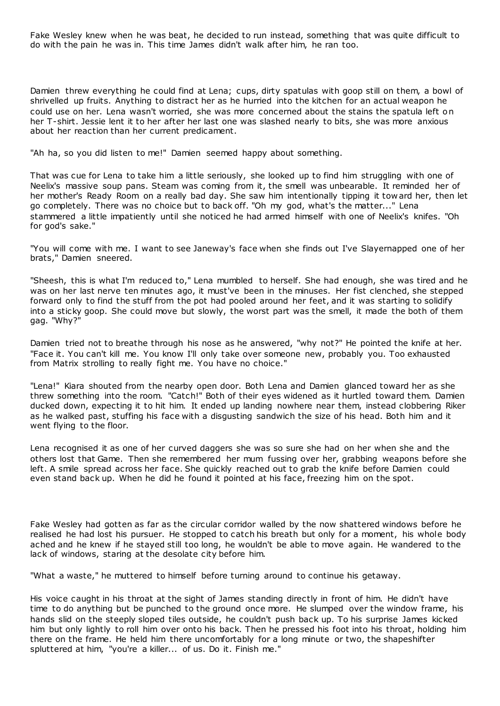Fake Wesley knew when he was beat, he decided to run instead, something that was quite difficult to do with the pain he was in. This time James didn't walk after him, he ran too.

Damien threw everything he could find at Lena; cups, dirty spatulas with goop still on them, a bowl of shrivelled up fruits. Anything to distract her as he hurried into the kitchen for an actual weapon he could use on her. Lena wasn't worried, she was more concerned about the stains the spatula left on her T-shirt. Jessie lent it to her after her last one was slashed nearly to bits, she was more anxious about her reaction than her current predicament.

"Ah ha, so you did listen to me!" Damien seemed happy about something.

That was cue for Lena to take him a little seriously, she looked up to find him struggling with one of Neelix's massive soup pans. Steam was coming from it, the smell was unbearable. It reminded her of her mother's Ready Room on a really bad day. She saw him intentionally tipping it tow ard her, then let go completely. There was no choice but to back off. "Oh my god, what's the matter..." Lena stammered a little impatiently until she noticed he had armed himself with one of Neelix's knifes. "Oh for god's sake."

"You will come with me. I want to see Janeway's face when she finds out I've Slayernapped one of her brats," Damien sneered.

"Sheesh, this is what I'm reduced to," Lena mumbled to herself. She had enough, she was tired and he was on her last nerve ten minutes ago, it must've been in the minuses. Her fist clenched, she stepped forward only to find the stuff from the pot had pooled around her feet, and it was starting to solidify into a sticky goop. She could move but slowly, the worst part was the smell, it made the both of them gag. "Why?"

Damien tried not to breathe through his nose as he answered, "why not?" He pointed the knife at her. "Face it. You can't kill me. You know I'll only take over someone new, probably you. Too exhausted from Matrix strolling to really fight me. You have no choice."

"Lena!" Kiara shouted from the nearby open door. Both Lena and Damien glanced toward her as she threw something into the room. "Catch!" Both of their eyes widened as it hurtled toward them. Damien ducked down, expecting it to hit him. It ended up landing nowhere near them, instead clobbering Riker as he walked past, stuffing his face with a disgusting sandwich the size of his head. Both him and it went flying to the floor.

Lena recognised it as one of her curved daggers she was so sure she had on her when she and the others lost that Game. Then she remembered her mum fussing over her, grabbing weapons before she left. A smile spread across her face. She quickly reached out to grab the knife before Damien could even stand back up. When he did he found it pointed at his face, freezing him on the spot.

Fake Wesley had gotten as far as the circular corridor walled by the now shattered windows before he realised he had lost his pursuer. He stopped to catch his breath but only for a moment, his whole body ached and he knew if he stayed still too long, he wouldn't be able to move again. He wandered to the lack of windows, staring at the desolate city before him.

"What a waste," he muttered to himself before turning around to continue his getaway.

His voice caught in his throat at the sight of James standing directly in front of him. He didn't have time to do anything but be punched to the ground once more. He slumped over the window frame, his hands slid on the steeply sloped tiles outside, he couldn't push back up. To his surprise James kicked him but only lightly to roll him over onto his back. Then he pressed his foot into his throat, holding him there on the frame. He held him there uncomfortably for a long minute or two, the shapeshifter spluttered at him, "you're a killer... of us. Do it. Finish me."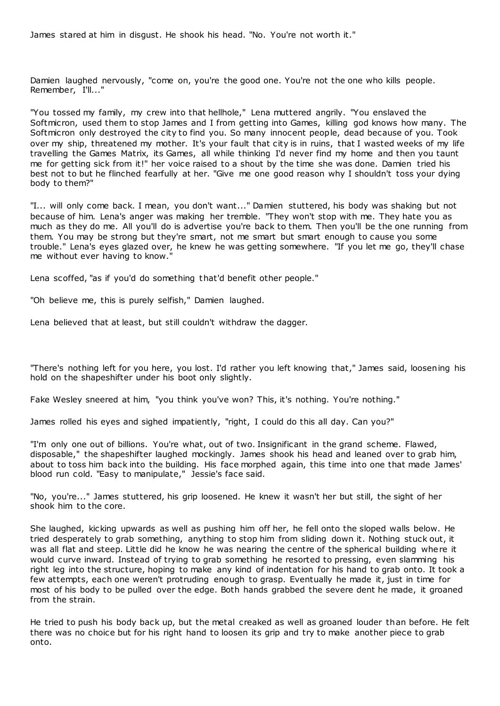James stared at him in disgust. He shook his head. "No. You're not worth it."

Damien laughed nervously, "come on, you're the good one. You're not the one who kills people. Remember, I'll..."

"You tossed my family, my crew into that hellhole," Lena muttered angrily. "You enslaved the Softmicron, used them to stop James and I from getting into Games, killing god knows how many. The Softmicron only destroyed the city to find you. So many innocent people, dead because of you. Took over my ship, threatened my mother. It's your fault that city is in ruins, that I wasted weeks of my life travelling the Games Matrix, its Games, all while thinking I'd never find my home and then you taunt me for getting sick from it!" her voice raised to a shout by the time she was done. Damien tried his best not to but he flinched fearfully at her. "Give me one good reason why I shouldn't toss your dying body to them?"

"I... will only come back. I mean, you don't want..." Damien stuttered, his body was shaking but not because of him. Lena's anger was making her tremble. "They won't stop with me. They hate you as much as they do me. All you'll do is advertise you're back to them. Then you'll be the one running from them. You may be strong but they're smart, not me smart but smart enough to cause you some trouble." Lena's eyes glazed over, he knew he was getting somewhere. "If you let me go, they'll chase me without ever having to know."

Lena scoffed, "as if you'd do something that'd benefit other people."

"Oh believe me, this is purely selfish," Damien laughed.

Lena believed that at least, but still couldn't withdraw the dagger.

"There's nothing left for you here, you lost. I'd rather you left knowing that," James said, loosening his hold on the shapeshifter under his boot only slightly.

Fake Wesley sneered at him, "you think you've won? This, it's nothing. You're nothing."

James rolled his eyes and sighed impatiently, "right, I could do this all day. Can you?"

"I'm only one out of billions. You're what, out of two. Insignificant in the grand scheme. Flawed, disposable," the shapeshifter laughed mockingly. James shook his head and leaned over to grab him, about to toss him back into the building. His face morphed again, this time into one that made James' blood run cold. "Easy to manipulate," Jessie's face said.

"No, you're..." James stuttered, his grip loosened. He knew it wasn't her but still, the sight of her shook him to the core.

She laughed, kicking upwards as well as pushing him off her, he fell onto the sloped walls below. He tried desperately to grab something, anything to stop him from sliding down it. Nothing stuck out, it was all flat and steep. Little did he know he was nearing the centre of the spherical building where it would curve inward. Instead of trying to grab something he resorted to pressing, even slamming his right leg into the structure, hoping to make any kind of indentation for his hand to grab onto. It took a few attempts, each one weren't protruding enough to grasp. Eventually he made it, just in time for most of his body to be pulled over the edge. Both hands grabbed the severe dent he made, it groaned from the strain.

He tried to push his body back up, but the metal creaked as well as groaned louder than before. He felt there was no choice but for his right hand to loosen its grip and try to make another piece to grab onto.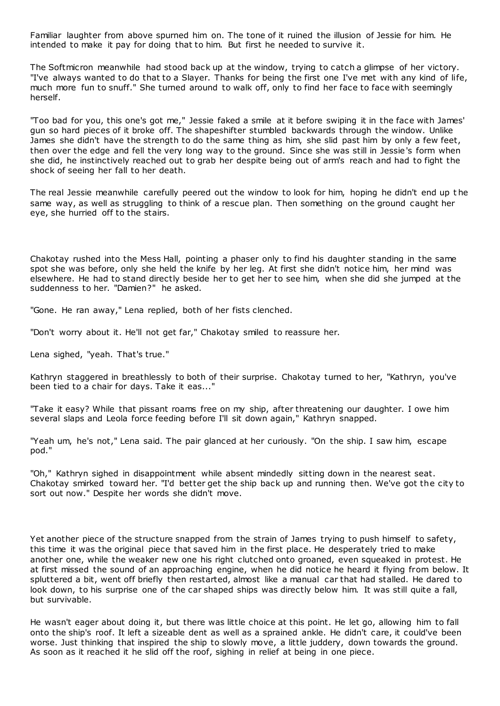Familiar laughter from above spurned him on. The tone of it ruined the illusion of Jessie for him. He intended to make it pay for doing that to him. But first he needed to survive it.

The Softmicron meanwhile had stood back up at the window, trying to catch a glimpse of her victory. "I've always wanted to do that to a Slayer. Thanks for being the first one I've met with any kind of life, much more fun to snuff." She turned around to walk off, only to find her face to face with seemingly herself.

"Too bad for you, this one's got me," Jessie faked a smile at it before swiping it in the face with James' gun so hard pieces of it broke off. The shapeshifter stumbled backwards through the window. Unlike James she didn't have the strength to do the same thing as him, she slid past him by only a few feet, then over the edge and fell the very long way to the ground. Since she was still in Jessie's form when she did, he instinctively reached out to grab her despite being out of arm's reach and had to fight the shock of seeing her fall to her death.

The real Jessie meanwhile carefully peered out the window to look for him, hoping he didn't end up t he same way, as well as struggling to think of a rescue plan. Then something on the ground caught her eye, she hurried off to the stairs.

Chakotay rushed into the Mess Hall, pointing a phaser only to find his daughter standing in the same spot she was before, only she held the knife by her leg. At first she didn't notice him, her mind was elsewhere. He had to stand directly beside her to get her to see him, when she did she jumped at the suddenness to her. "Damien?" he asked.

"Gone. He ran away," Lena replied, both of her fists clenched.

"Don't worry about it. He'll not get far," Chakotay smiled to reassure her.

Lena sighed, "yeah. That's true."

Kathryn staggered in breathlessly to both of their surprise. Chakotay turned to her, "Kathryn, you've been tied to a chair for days. Take it eas..."

"Take it easy? While that pissant roams free on my ship, after threatening our daughter. I owe him several slaps and Leola force feeding before I'll sit down again," Kathryn snapped.

"Yeah um, he's not," Lena said. The pair glanced at her curiously. "On the ship. I saw him, escape pod."

"Oh," Kathryn sighed in disappointment while absent mindedly sitting down in the nearest seat. Chakotay smirked toward her. "I'd better get the ship back up and running then. We've got the city to sort out now." Despite her words she didn't move.

Yet another piece of the structure snapped from the strain of James trying to push himself to safety, this time it was the original piece that saved him in the first place. He desperately tried to make another one, while the weaker new one his right clutched onto groaned, even squeaked in protest. He at first missed the sound of an approaching engine, when he did notice he heard it flying from below. It spluttered a bit, went off briefly then restarted, almost like a manual car that had stalled. He dared to look down, to his surprise one of the car shaped ships was directly below him. It was still quite a fall, but survivable.

He wasn't eager about doing it, but there was little choice at this point. He let go, allowing him to fall onto the ship's roof. It left a sizeable dent as well as a sprained ankle. He didn't care, it could've been worse. Just thinking that inspired the ship to slowly move, a little juddery, down towards the ground. As soon as it reached it he slid off the roof, sighing in relief at being in one piece.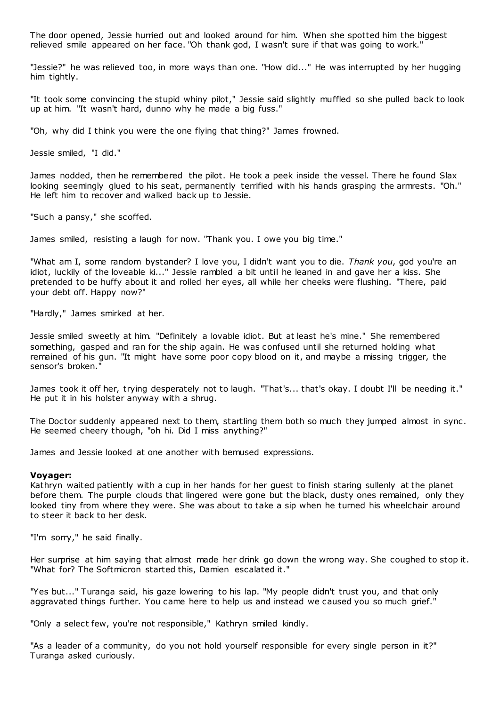The door opened, Jessie hurried out and looked around for him. When she spotted him the biggest relieved smile appeared on her face. "Oh thank god, I wasn't sure if that was going to work."

"Jessie?" he was relieved too, in more ways than one. "How did..." He was interrupted by her hugging him tightly.

"It took some convincing the stupid whiny pilot," Jessie said slightly muffled so she pulled back to look up at him. "It wasn't hard, dunno why he made a big fuss."

"Oh, why did I think you were the one flying that thing?" James frowned.

Jessie smiled, "I did."

James nodded, then he remembered the pilot. He took a peek inside the vessel. There he found Slax looking seemingly glued to his seat, permanently terrified with his hands grasping the armrests. "Oh." He left him to recover and walked back up to Jessie.

"Such a pansy," she scoffed.

James smiled, resisting a laugh for now. "Thank you. I owe you big time."

"What am I, some random bystander? I love you, I didn't want you to die. *Thank you*, god you're an idiot, luckily of the loveable ki..." Jessie rambled a bit until he leaned in and gave her a kiss. She pretended to be huffy about it and rolled her eyes, all while her cheeks were flushing. "There, paid your debt off. Happy now?"

"Hardly," James smirked at her.

Jessie smiled sweetly at him. "Definitely a lovable idiot. But at least he's mine." She remembered something, gasped and ran for the ship again. He was confused until she returned holding what remained of his gun. "It might have some poor copy blood on it, and maybe a missing trigger, the sensor's broken."

James took it off her, trying desperately not to laugh. "That's... that's okay. I doubt I'll be needing it." He put it in his holster anyway with a shrug.

The Doctor suddenly appeared next to them, startling them both so much they jumped almost in sync . He seemed cheery though, "oh hi. Did I miss anything?"

James and Jessie looked at one another with bemused expressions.

#### **Voyager:**

Kathryn waited patiently with a cup in her hands for her guest to finish staring sullenly at the planet before them. The purple clouds that lingered were gone but the black, dusty ones remained, only they looked tiny from where they were. She was about to take a sip when he turned his wheelchair around to steer it back to her desk.

"I'm sorry," he said finally.

Her surprise at him saying that almost made her drink go down the wrong way. She coughed to stop it. "What for? The Softmicron started this, Damien escalated it."

"Yes but..." Turanga said, his gaze lowering to his lap. "My people didn't trust you, and that only aggravated things further. You came here to help us and instead we caused you so much grief."

"Only a select few, you're not responsible," Kathryn smiled kindly.

"As a leader of a community, do you not hold yourself responsible for every single person in it?" Turanga asked curiously.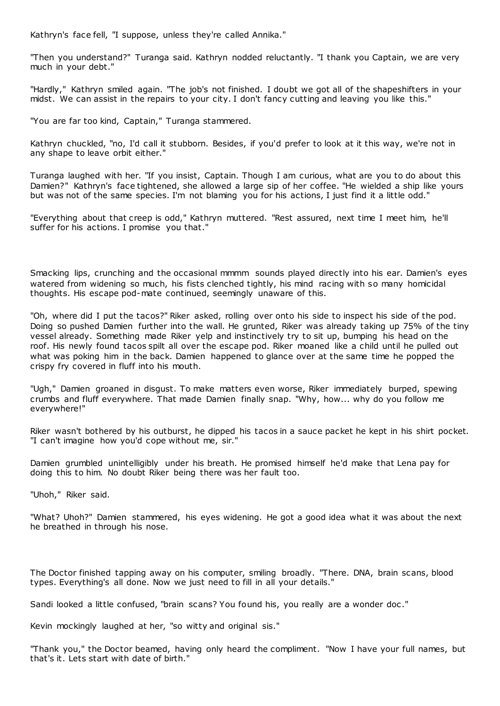Kathryn's face fell, "I suppose, unless they're called Annika."

"Then you understand?" Turanga said. Kathryn nodded reluctantly. "I thank you Captain, we are very much in your debt."

"Hardly," Kathryn smiled again. "The job's not finished. I doubt we got all of the shapeshifters in your midst. We can assist in the repairs to your city. I don't fancy cutting and leaving you like this."

"You are far too kind, Captain," Turanga stammered.

Kathryn chuckled, "no, I'd call it stubborn. Besides, if you'd prefer to look at it this way, we're not in any shape to leave orbit either."

Turanga laughed with her. "If you insist, Captain. Though I am curious, what are you to do about this Damien?" Kathryn's face tightened, she allowed a large sip of her coffee. "He wielded a ship like yours but was not of the same species. I'm not blaming you for his actions, I just find it a little odd."

"Everything about that creep is odd," Kathryn muttered. "Rest assured, next time I meet him, he'll suffer for his actions. I promise you that."

Smacking lips, crunching and the occasional mmmm sounds played directly into his ear. Damien's eyes watered from widening so much, his fists clenched tightly, his mind racing with so many homicidal thoughts. His escape pod-mate continued, seemingly unaware of this.

"Oh, where did I put the tacos?" Riker asked, rolling over onto his side to inspect his side of the pod. Doing so pushed Damien further into the wall. He grunted, Riker was already taking up 75% of the tiny vessel already. Something made Riker yelp and instinctively try to sit up, bumping his head on the roof. His newly found tacos spilt all over the escape pod. Riker moaned like a child until he pulled out what was poking him in the back. Damien happened to glance over at the same time he popped the crispy fry covered in fluff into his mouth.

"Ugh," Damien groaned in disgust. To make matters even worse, Riker immediately burped, spewing crumbs and fluff everywhere. That made Damien finally snap. "Why, how... why do you follow me everywhere!"

Riker wasn't bothered by his outburst, he dipped his tacos in a sauce packet he kept in his shirt pocket. "I can't imagine how you'd cope without me, sir."

Damien grumbled unintelligibly under his breath. He promised himself he'd make that Lena pay for doing this to him. No doubt Riker being there was her fault too.

"Uhoh," Riker said.

"What? Uhoh?" Damien stammered, his eyes widening. He got a good idea what it was about the next he breathed in through his nose.

The Doctor finished tapping away on his computer, smiling broadly. "There. DNA, brain scans, blood types. Everything's all done. Now we just need to fill in all your details."

Sandi looked a little confused, "brain scans? You found his, you really are a wonder doc ."

Kevin mockingly laughed at her, "so witty and original sis."

"Thank you," the Doctor beamed, having only heard the compliment. "Now I have your full names, but that's it. Lets start with date of birth."